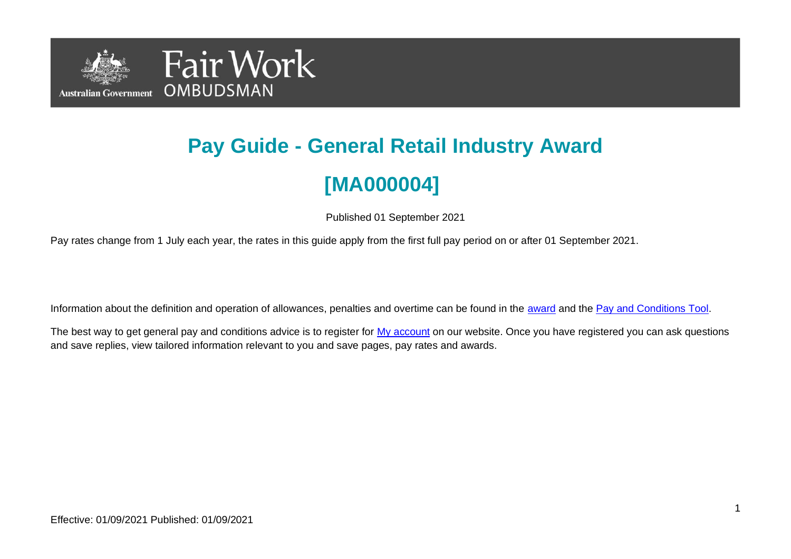

# **Pay Guide - General Retail Industry Award [MA000004]**

Published 01 September 2021

Pay rates change from 1 July each year, the rates in this guide apply from the first full pay period on or after 01 September 2021.

Information about the definition and operation of allowances, penalties and overtime can be found in the [award](https://www.fairwork.gov.au/awards-and-agreements/awards/list-of-awards) and the [Pay and Conditions Tool.](https://calculate.fairwork.gov.au/)

The best way to get general pay and conditions advice is to register for [My account](https://www.fairwork.gov.au/my-account/registerpage.aspx) on our website. Once you have registered you can ask questions and save replies, view tailored information relevant to you and save pages, pay rates and awards.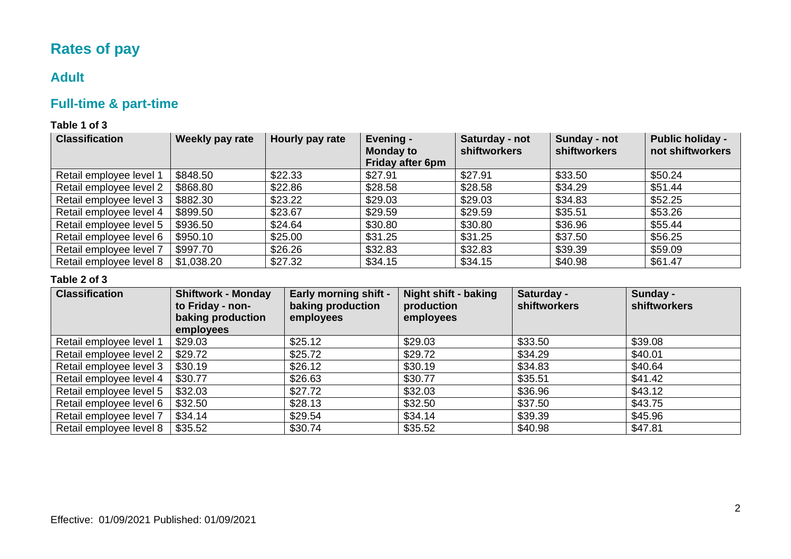# **Rates of pay**

### **Adult**

# **Full-time & part-time**

#### **Table 1 of 3**

| <b>Classification</b>   | Weekly pay rate | Hourly pay rate | Evening -<br><b>Monday to</b><br><b>Friday after 6pm</b> | Saturday - not<br><b>shiftworkers</b> | Sunday - not<br><b>shiftworkers</b> | <b>Public holiday -</b><br>not shiftworkers |
|-------------------------|-----------------|-----------------|----------------------------------------------------------|---------------------------------------|-------------------------------------|---------------------------------------------|
| Retail employee level 1 | \$848.50        | \$22.33         | \$27.91                                                  | \$27.91                               | \$33.50                             | \$50.24                                     |
| Retail employee level 2 | \$868.80        | \$22.86         | \$28.58                                                  | \$28.58                               | \$34.29                             | \$51.44                                     |
| Retail employee level 3 | \$882.30        | \$23.22         | \$29.03                                                  | \$29.03                               | \$34.83                             | \$52.25                                     |
| Retail employee level 4 | \$899.50        | \$23.67         | \$29.59                                                  | \$29.59                               | \$35.51                             | \$53.26                                     |
| Retail employee level 5 | \$936.50        | \$24.64         | \$30.80                                                  | \$30.80                               | \$36.96                             | \$55.44                                     |
| Retail employee level 6 | \$950.10        | \$25.00         | \$31.25                                                  | \$31.25                               | \$37.50                             | \$56.25                                     |
| Retail employee level 7 | \$997.70        | \$26.26         | \$32.83                                                  | \$32.83                               | \$39.39                             | \$59.09                                     |
| Retail employee level 8 | \$1,038.20      | \$27.32         | \$34.15                                                  | \$34.15                               | \$40.98                             | \$61.47                                     |

#### **Table 2 of 3**

| <b>Classification</b>   | <b>Shiftwork - Monday</b><br>to Friday - non-<br>baking production<br>employees | <b>Early morning shift -</b><br>baking production<br>employees | Night shift - baking<br>production<br>employees | Saturday -<br>shiftworkers | Sunday -<br><b>shiftworkers</b> |
|-------------------------|---------------------------------------------------------------------------------|----------------------------------------------------------------|-------------------------------------------------|----------------------------|---------------------------------|
| Retail employee level 1 | \$29.03                                                                         | \$25.12                                                        | \$29.03                                         | \$33.50                    | \$39.08                         |
| Retail employee level 2 | \$29.72                                                                         | \$25.72                                                        | \$29.72                                         | \$34.29                    | \$40.01                         |
| Retail employee level 3 | \$30.19                                                                         | \$26.12                                                        | \$30.19                                         | \$34.83                    | \$40.64                         |
| Retail employee level 4 | \$30.77                                                                         | \$26.63                                                        | \$30.77                                         | \$35.51                    | \$41.42                         |
| Retail employee level 5 | \$32.03                                                                         | \$27.72                                                        | \$32.03                                         | \$36.96                    | \$43.12                         |
| Retail employee level 6 | \$32.50                                                                         | \$28.13                                                        | \$32.50                                         | \$37.50                    | \$43.75                         |
| Retail employee level 7 | \$34.14                                                                         | \$29.54                                                        | \$34.14                                         | \$39.39                    | \$45.96                         |
| Retail employee level 8 | \$35.52                                                                         | \$30.74                                                        | \$35.52                                         | \$40.98                    | \$47.81                         |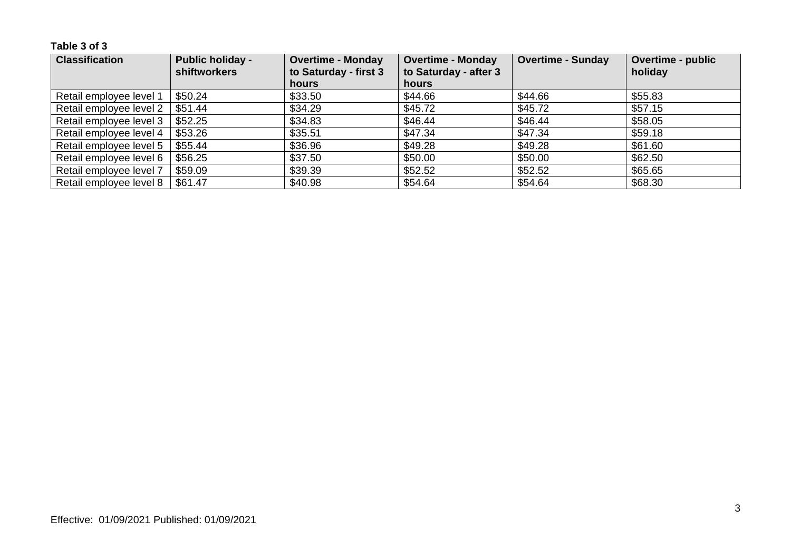| <b>Classification</b>   | <b>Public holiday -</b><br><b>shiftworkers</b> | <b>Overtime - Monday</b><br>to Saturday - first 3 | <b>Overtime - Monday</b><br>to Saturday - after 3 | <b>Overtime - Sunday</b> | <b>Overtime - public</b><br>holiday |
|-------------------------|------------------------------------------------|---------------------------------------------------|---------------------------------------------------|--------------------------|-------------------------------------|
|                         |                                                | <b>hours</b>                                      | <b>hours</b>                                      |                          |                                     |
| Retail employee level 1 | \$50.24                                        | \$33.50                                           | \$44.66                                           | \$44.66                  | \$55.83                             |
| Retail employee level 2 | \$51.44                                        | \$34.29                                           | \$45.72                                           | \$45.72                  | \$57.15                             |
| Retail employee level 3 | \$52.25                                        | \$34.83                                           | \$46.44                                           | \$46.44                  | \$58.05                             |
| Retail employee level 4 | \$53.26                                        | \$35.51                                           | \$47.34                                           | \$47.34                  | \$59.18                             |
| Retail employee level 5 | \$55.44                                        | \$36.96                                           | \$49.28                                           | \$49.28                  | \$61.60                             |
| Retail employee level 6 | \$56.25                                        | \$37.50                                           | \$50.00                                           | \$50.00                  | \$62.50                             |
| Retail employee level 7 | \$59.09                                        | \$39.39                                           | \$52.52                                           | \$52.52                  | \$65.65                             |
| Retail employee level 8 | \$61.47                                        | \$40.98                                           | \$54.64                                           | \$54.64                  | \$68.30                             |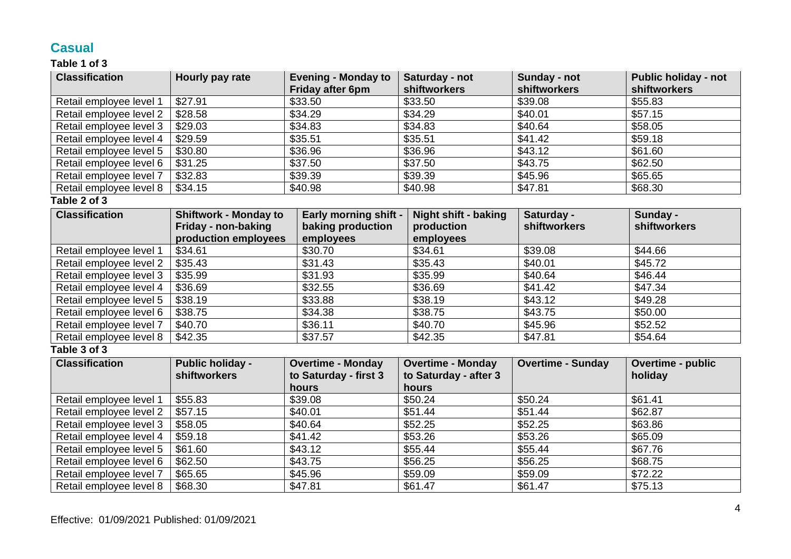### **Casual**

#### **Table 1 of 3**

| <b>Classification</b>   | Hourly pay rate              | <b>Evening - Monday to</b><br>Friday after 6pm | Saturday - not<br>shiftworkers | Sunday - not<br>shiftworkers | <b>Public holiday - not</b><br>shiftworkers |
|-------------------------|------------------------------|------------------------------------------------|--------------------------------|------------------------------|---------------------------------------------|
| Retail employee level 1 | \$27.91                      | \$33.50                                        | \$33.50                        | \$39.08                      | \$55.83                                     |
| Retail employee level 2 | \$28.58                      | \$34.29                                        | \$34.29                        | \$40.01                      | \$57.15                                     |
| Retail employee level 3 | \$29.03                      | \$34.83                                        | \$34.83                        | \$40.64                      | \$58.05                                     |
| Retail employee level 4 | \$29.59                      | \$35.51                                        | \$35.51                        | \$41.42                      | \$59.18                                     |
| Retail employee level 5 | \$30.80                      | \$36.96                                        | \$36.96                        | \$43.12                      | \$61.60                                     |
| Retail employee level 6 | \$31.25                      | \$37.50                                        | \$37.50                        | \$43.75                      | \$62.50                                     |
| Retail employee level 7 | \$32.83                      | \$39.39                                        | \$39.39                        | \$45.96                      | \$65.65                                     |
| Retail employee level 8 | \$34.15                      | \$40.98                                        | \$40.98                        | \$47.81                      | \$68.30                                     |
| Table 2 of 3            |                              |                                                |                                |                              |                                             |
| <b>Classification</b>   | <b>Shiftwork - Monday to</b> | <b>Early morning shift -</b>                   | <b>Night shift - baking</b>    | Saturday -                   | Sunday -                                    |
|                         | Friday - non-baking          | baking production                              | production                     | <b>shiftworkers</b>          | shiftworkers                                |
|                         | production employees         | employees                                      | employees                      |                              |                                             |
| Retail employee level 1 | \$34.61                      | \$30.70                                        | \$34.61                        | \$39.08                      | \$44.66                                     |
| Retail employee level 2 | \$35.43                      | \$31.43                                        | \$35.43                        | \$40.01                      | \$45.72                                     |
| Retail employee level 3 | \$35.99                      | \$31.93                                        | \$35.99                        | \$40.64                      | \$46.44                                     |
| Retail employee level 4 | \$36.69                      | \$32.55                                        | \$36.69                        | \$41.42                      | \$47.34                                     |
| Retail employee level 5 | \$38.19                      | \$33.88                                        | \$38.19                        | \$43.12                      | \$49.28                                     |
| Retail employee level 6 | \$38.75                      | \$34.38                                        | \$38.75                        | \$43.75                      | \$50.00                                     |
| Retail employee level 7 | \$40.70                      | \$36.11                                        | \$40.70                        | \$45.96                      | \$52.52                                     |
| Retail employee level 8 | \$42.35                      | \$37.57                                        | \$42.35                        | \$47.81                      | \$54.64                                     |
| Table 3 of 3            |                              |                                                |                                |                              |                                             |
| <b>Classification</b>   | <b>Public holiday -</b>      | <b>Overtime - Monday</b>                       | <b>Overtime - Monday</b>       | <b>Overtime - Sunday</b>     | <b>Overtime - public</b>                    |
|                         | shiftworkers                 | to Saturday - first 3                          | to Saturday - after 3          |                              | holiday                                     |
|                         |                              | hours                                          | hours                          |                              |                                             |
| Retail employee level 1 | \$55.83                      | \$39.08                                        | \$50.24                        | \$50.24                      | $\overline{$}61.41$                         |
| Retail employee level 2 | \$57.15                      | \$40.01                                        | \$51.44                        | \$51.44                      | \$62.87                                     |
| Retail employee level 3 | \$58.05                      | \$40.64                                        | \$52.25                        | \$52.25                      | \$63.86                                     |
| Retail employee level 4 | \$59.18                      | \$41.42                                        | \$53.26                        | \$53.26                      | \$65.09                                     |
| Retail employee level 5 | \$61.60                      | \$43.12                                        | \$55.44                        | \$55.44                      | \$67.76                                     |
| Retail employee level 6 | \$62.50                      | \$43.75                                        | \$56.25                        | \$56.25                      | \$68.75                                     |
| Retail employee level 7 | \$65.65                      | \$45.96                                        | \$59.09                        | \$59.09                      | \$72.22                                     |
| Retail employee level 8 | \$68.30                      | \$47.81                                        | \$61.47                        | \$61.47                      | \$75.13                                     |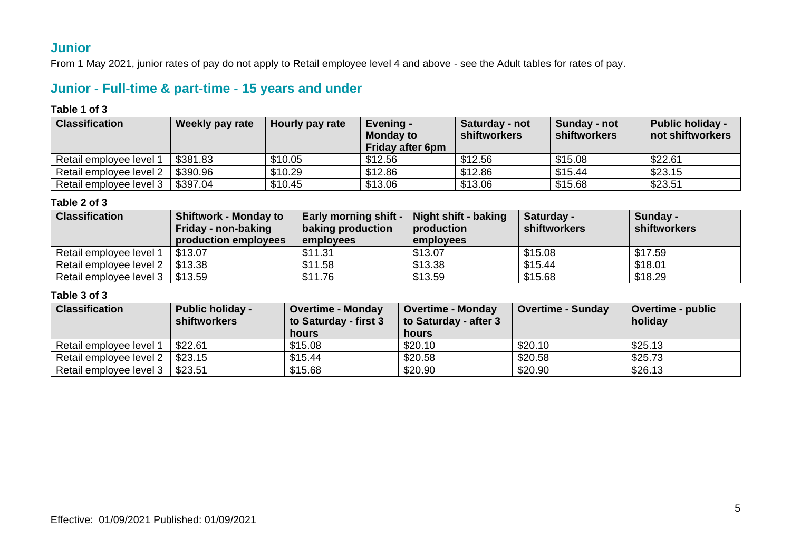### **Junior**

From 1 May 2021, junior rates of pay do not apply to Retail employee level 4 and above - see the Adult tables for rates of pay.

### **Junior - Full-time & part-time - 15 years and under**

#### **Table 1 of 3**

| <b>Classification</b>   | Weekly pay rate | Hourly pay rate | Evening -<br><b>Monday to</b><br><b>Friday after 6pm</b> | Saturday - not<br>shiftworkers | Sunday - not<br>shiftworkers | <b>Public holiday -</b><br>not shiftworkers |
|-------------------------|-----------------|-----------------|----------------------------------------------------------|--------------------------------|------------------------------|---------------------------------------------|
| Retail employee level 1 | \$381.83        | \$10.05         | \$12.56                                                  | \$12.56                        | \$15.08                      | \$22.61                                     |
| Retail employee level 2 | \$390.96        | \$10.29         | \$12.86                                                  | \$12.86                        | \$15.44                      | \$23.15                                     |
| Retail employee level 3 | \$397.04        | \$10.45         | \$13.06                                                  | \$13.06                        | \$15.68                      | \$23.51                                     |

#### **Table 2 of 3**

| <b>Classification</b>                 | <b>Shiftwork - Monday to</b><br>Friday - non-baking<br>production employees | Early morning shift -<br>baking production<br>employees | <b>Night shift - baking</b><br>production<br>employees | Saturday -<br>shiftworkers | Sunday -<br>shiftworkers |
|---------------------------------------|-----------------------------------------------------------------------------|---------------------------------------------------------|--------------------------------------------------------|----------------------------|--------------------------|
| Retail employee level 1               | \$13.07                                                                     | \$11.31                                                 | \$13.07                                                | \$15.08                    | \$17.59                  |
| Retail employee level 2               | \$13.38                                                                     | \$11.58                                                 | \$13.38                                                | \$15.44                    | \$18.01                  |
| Retail employee level $3 \mid $13.59$ |                                                                             | \$11.76                                                 | \$13.59                                                | \$15.68                    | \$18.29                  |

| <b>Classification</b>   | <b>Public holiday -</b><br>shiftworkers | <b>Overtime - Monday</b><br>to Saturday - first 3<br>hours | <b>Overtime - Monday</b><br>to Saturday - after 3<br>hours | <b>Overtime - Sunday</b> | Overtime - public<br>holiday |
|-------------------------|-----------------------------------------|------------------------------------------------------------|------------------------------------------------------------|--------------------------|------------------------------|
| Retail employee level 1 | \$22.61                                 | \$15.08                                                    | \$20.10                                                    | \$20.10                  | \$25.13                      |
| Retail employee level 2 | \$23.15                                 | \$15.44                                                    | \$20.58                                                    | \$20.58                  | \$25.73                      |
| Retail employee level 3 | \$23.51                                 | \$15.68                                                    | \$20.90                                                    | \$20.90                  | \$26.13                      |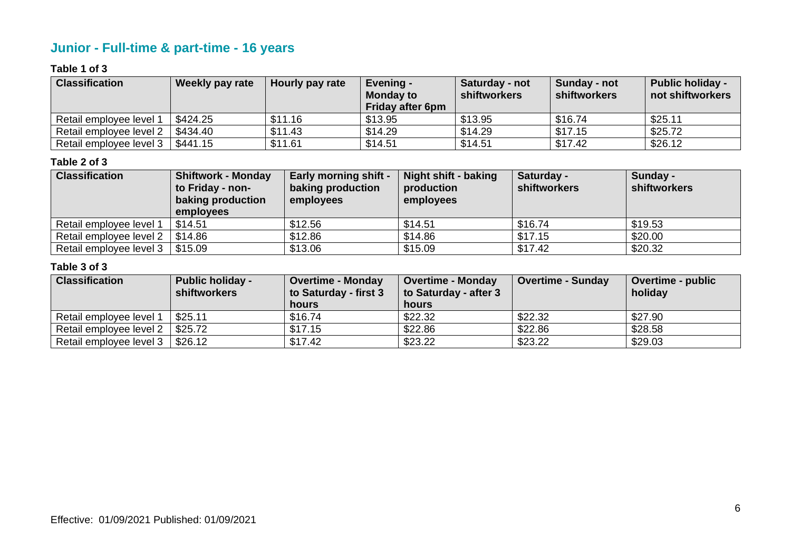# **Junior - Full-time & part-time - 16 years**

#### **Table 1 of 3**

| <b>Classification</b>   | <b>Weekly pay rate</b> | Hourly pay rate | Evening -<br><b>Monday to</b><br><b>Friday after 6pm</b> | Saturday - not<br><b>shiftworkers</b> | Sunday - not<br><b>shiftworkers</b> | <b>Public holiday -</b><br>not shiftworkers |
|-------------------------|------------------------|-----------------|----------------------------------------------------------|---------------------------------------|-------------------------------------|---------------------------------------------|
| Retail employee level   | \$424.25               | \$11.16         | \$13.95                                                  | \$13.95                               | \$16.74                             | \$25.11                                     |
| Retail employee level 2 | \$434.40               | \$11.43         | \$14.29                                                  | \$14.29                               | \$17.15                             | \$25.72                                     |
| Retail employee level 3 | \$441.15               | \$11.61         | \$14.51                                                  | \$14.51                               | \$17.42                             | \$26.12                                     |

#### **Table 2 of 3**

| <b>Classification</b>   | <b>Shiftwork - Monday</b><br>to Friday - non-<br>baking production<br>employees | <b>Early morning shift -</b><br>baking production<br>employees | Night shift - baking<br>production<br>employees | Saturday -<br><b>shiftworkers</b> | Sunday -<br>shiftworkers |
|-------------------------|---------------------------------------------------------------------------------|----------------------------------------------------------------|-------------------------------------------------|-----------------------------------|--------------------------|
| Retail employee level 1 | \$14.51                                                                         | \$12.56                                                        | \$14.51                                         | \$16.74                           | \$19.53                  |
| Retail employee level 2 | \$14.86                                                                         | \$12.86                                                        | \$14.86                                         | \$17.15                           | \$20.00                  |
| Retail employee level 3 | \$15.09                                                                         | \$13.06                                                        | \$15.09                                         | \$17.42                           | \$20.32                  |

| <b>Classification</b>   | <b>Public holiday -</b><br><b>shiftworkers</b> | <b>Overtime - Monday</b><br>to Saturday - first 3 | <b>Overtime - Monday</b><br>to Saturday - after 3 | <b>Overtime - Sunday</b> | <b>Overtime - public</b><br>holiday |
|-------------------------|------------------------------------------------|---------------------------------------------------|---------------------------------------------------|--------------------------|-------------------------------------|
|                         |                                                | <b>hours</b>                                      | hours                                             |                          |                                     |
| Retail employee level 1 | \$25.11                                        | \$16.74                                           | \$22.32                                           | \$22.32                  | \$27.90                             |
| Retail employee level 2 | \$25.72                                        | \$17.15                                           | \$22.86                                           | \$22.86                  | \$28.58                             |
| Retail employee level 3 | \$26.12                                        | \$17.42                                           | \$23.22                                           | \$23.22                  | \$29.03                             |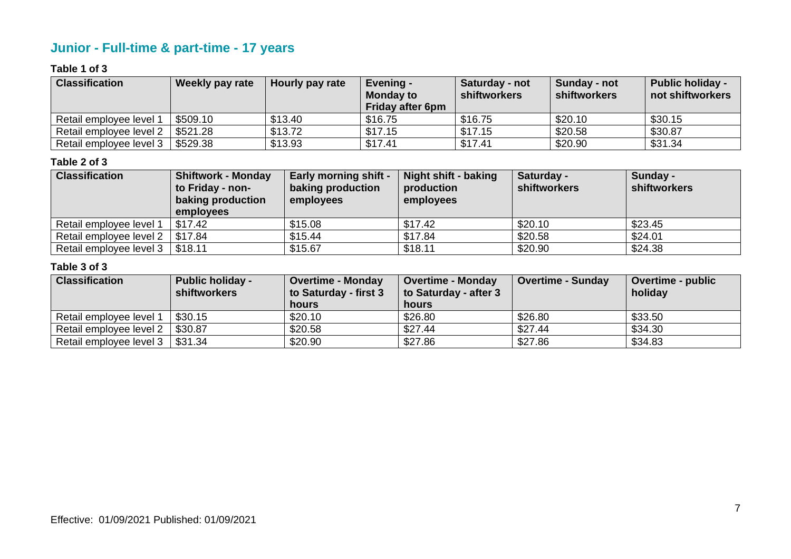# **Junior - Full-time & part-time - 17 years**

#### **Table 1 of 3**

| <b>Classification</b>   | <b>Weekly pay rate</b> | Hourly pay rate | Evening -<br><b>Monday to</b><br><b>Friday after 6pm</b> | Saturday - not<br><b>shiftworkers</b> | Sunday - not<br><b>shiftworkers</b> | <b>Public holiday -</b><br>not shiftworkers |
|-------------------------|------------------------|-----------------|----------------------------------------------------------|---------------------------------------|-------------------------------------|---------------------------------------------|
| Retail employee level   | \$509.10               | \$13.40         | \$16.75                                                  | \$16.75                               | \$20.10                             | \$30.15                                     |
| Retail employee level 2 | \$521.28               | \$13.72         | \$17.15                                                  | \$17.15                               | \$20.58                             | \$30.87                                     |
| Retail employee level 3 | \$529.38               | \$13.93         | \$17.41                                                  | \$17.41                               | \$20.90                             | \$31.34                                     |

#### **Table 2 of 3**

| <b>Classification</b>   | <b>Shiftwork - Monday</b><br>to Friday - non-<br>baking production<br>employees | <b>Early morning shift -</b><br>baking production<br>employees | <b>Night shift - baking</b><br>production<br>employees | Saturday -<br><b>shiftworkers</b> | Sunday -<br>shiftworkers |
|-------------------------|---------------------------------------------------------------------------------|----------------------------------------------------------------|--------------------------------------------------------|-----------------------------------|--------------------------|
| Retail employee level 1 | \$17.42                                                                         | \$15.08                                                        | \$17.42                                                | \$20.10                           | \$23.45                  |
| Retail employee level 2 | \$17.84                                                                         | \$15.44                                                        | \$17.84                                                | \$20.58                           | \$24.01                  |
| Retail employee level 3 | \$18.11                                                                         | \$15.67                                                        | \$18.11                                                | \$20.90                           | \$24.38                  |

| <b>Classification</b>   | <b>Public holiday -</b><br><b>shiftworkers</b> | <b>Overtime - Monday</b><br>to Saturday - first 3 | <b>Overtime - Monday</b><br>to Saturday - after 3 | <b>Overtime - Sunday</b> | <b>Overtime - public</b><br>holiday |
|-------------------------|------------------------------------------------|---------------------------------------------------|---------------------------------------------------|--------------------------|-------------------------------------|
|                         |                                                | <b>hours</b>                                      | hours                                             |                          |                                     |
| Retail employee level 1 | \$30.15                                        | \$20.10                                           | \$26.80                                           | \$26.80                  | \$33.50                             |
| Retail employee level 2 | \$30.87                                        | \$20.58                                           | \$27.44                                           | \$27.44                  | \$34.30                             |
| Retail employee level 3 | \$31.34                                        | \$20.90                                           | \$27.86                                           | \$27.86                  | \$34.83                             |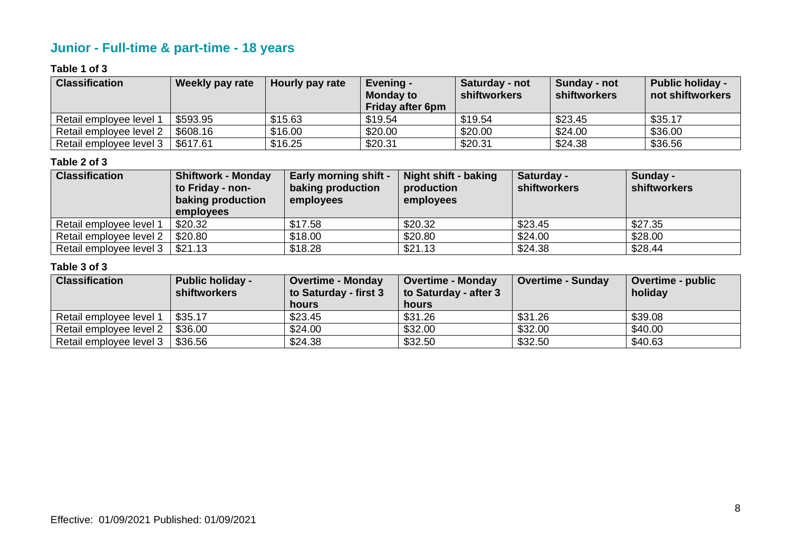# **Junior - Full-time & part-time - 18 years**

#### **Table 1 of 3**

| <b>Classification</b>   | Weekly pay rate | Hourly pay rate | Evening -<br><b>Monday to</b><br><b>Friday after 6pm</b> | Saturday - not<br><b>shiftworkers</b> | Sunday - not<br><b>shiftworkers</b> | <b>Public holiday -</b><br>not shiftworkers |
|-------------------------|-----------------|-----------------|----------------------------------------------------------|---------------------------------------|-------------------------------------|---------------------------------------------|
| Retail employee level   | \$593.95        | \$15.63         | \$19.54                                                  | \$19.54                               | \$23.45                             | \$35.17                                     |
| Retail employee level 2 | \$608.16        | \$16.00         | \$20.00                                                  | \$20.00                               | \$24.00                             | \$36.00                                     |
| Retail employee level 3 | \$617.61        | \$16.25         | \$20.31                                                  | \$20.31                               | \$24.38                             | \$36.56                                     |

#### **Table 2 of 3**

| <b>Classification</b>   | <b>Shiftwork - Monday</b><br>to Friday - non-<br>baking production<br>employees | <b>Early morning shift -</b><br>baking production<br>employees | <b>Night shift - baking</b><br>production<br>employees | Saturday -<br><b>shiftworkers</b> | Sunday -<br>shiftworkers |
|-------------------------|---------------------------------------------------------------------------------|----------------------------------------------------------------|--------------------------------------------------------|-----------------------------------|--------------------------|
| Retail employee level 1 | \$20.32                                                                         | \$17.58                                                        | \$20.32                                                | \$23.45                           | \$27.35                  |
| Retail employee level 2 | \$20.80                                                                         | \$18.00                                                        | \$20.80                                                | \$24.00                           | \$28.00                  |
| Retail employee level 3 | \$21.13                                                                         | \$18.28                                                        | \$21.13                                                | \$24.38                           | \$28.44                  |

| <b>Classification</b>   | <b>Public holiday -</b><br><b>shiftworkers</b> | <b>Overtime - Monday</b><br>to Saturday - first 3 | <b>Overtime - Monday</b><br>to Saturday - after 3 | <b>Overtime - Sunday</b> | <b>Overtime - public</b><br>holiday |
|-------------------------|------------------------------------------------|---------------------------------------------------|---------------------------------------------------|--------------------------|-------------------------------------|
|                         |                                                | <b>hours</b>                                      | hours                                             |                          |                                     |
| Retail employee level 1 | \$35.17                                        | \$23.45                                           | \$31.26                                           | \$31.26                  | \$39.08                             |
| Retail employee level 2 | \$36.00                                        | \$24.00                                           | \$32.00                                           | \$32.00                  | \$40.00                             |
| Retail employee level 3 | \$36.56                                        | \$24.38                                           | \$32.50                                           | \$32.50                  | \$40.63                             |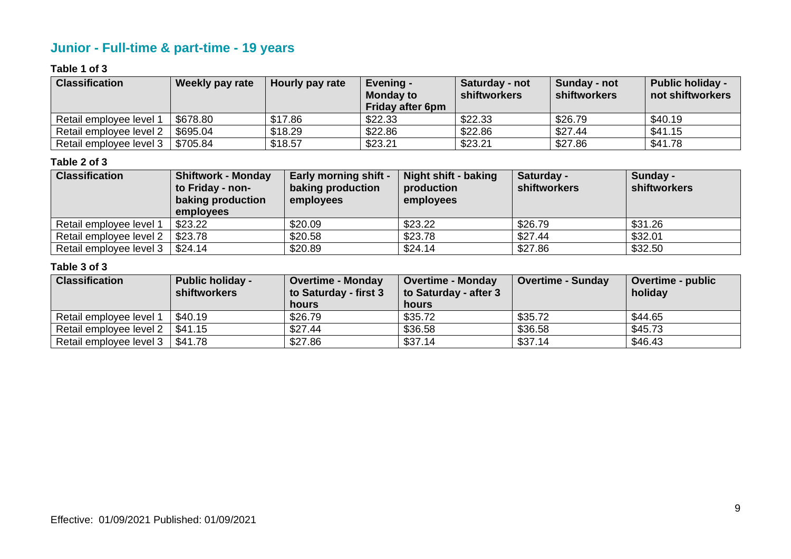# **Junior - Full-time & part-time - 19 years**

#### **Table 1 of 3**

| <b>Classification</b>   | Weekly pay rate | Hourly pay rate | Evening -<br><b>Monday to</b><br><b>Friday after 6pm</b> | Saturday - not<br><b>shiftworkers</b> | Sunday - not<br><b>shiftworkers</b> | <b>Public holiday -</b><br>not shiftworkers |
|-------------------------|-----------------|-----------------|----------------------------------------------------------|---------------------------------------|-------------------------------------|---------------------------------------------|
| Retail employee level 1 | \$678.80        | \$17.86         | \$22.33                                                  | \$22.33                               | \$26.79                             | \$40.19                                     |
| Retail employee level 2 | \$695.04        | \$18.29         | \$22.86                                                  | \$22.86                               | \$27.44                             | \$41.15                                     |
| Retail employee level 3 | \$705.84        | \$18.57         | \$23.21                                                  | \$23.21                               | \$27.86                             | \$41.78                                     |

#### **Table 2 of 3**

| <b>Classification</b>   | <b>Shiftwork - Monday</b><br>to Friday - non-<br>baking production<br>employees | <b>Early morning shift -</b><br>baking production<br>employees | <b>Night shift - baking</b><br>production<br>employees | Saturday -<br><b>shiftworkers</b> | Sunday -<br>shiftworkers |
|-------------------------|---------------------------------------------------------------------------------|----------------------------------------------------------------|--------------------------------------------------------|-----------------------------------|--------------------------|
| Retail employee level 1 | \$23.22                                                                         | \$20.09                                                        | \$23.22                                                | \$26.79                           | \$31.26                  |
| Retail employee level 2 | \$23.78                                                                         | \$20.58                                                        | \$23.78                                                | \$27.44                           | \$32.01                  |
| Retail employee level 3 | \$24.14                                                                         | \$20.89                                                        | \$24.14                                                | \$27.86                           | \$32.50                  |

| <b>Classification</b>   | <b>Public holiday -</b><br><b>shiftworkers</b> | <b>Overtime - Monday</b><br>to Saturday - first 3 | <b>Overtime - Monday</b><br>to Saturday - after 3 | <b>Overtime - Sunday</b> | <b>Overtime - public</b><br>holiday |
|-------------------------|------------------------------------------------|---------------------------------------------------|---------------------------------------------------|--------------------------|-------------------------------------|
|                         |                                                | <b>hours</b>                                      | hours                                             |                          |                                     |
| Retail employee level 1 | \$40.19                                        | \$26.79                                           | \$35.72                                           | \$35.72                  | \$44.65                             |
| Retail employee level 2 | \$41.15                                        | \$27.44                                           | \$36.58                                           | \$36.58                  | \$45.73                             |
| Retail employee level 3 | \$41.78                                        | \$27.86                                           | \$37.14                                           | \$37.14                  | \$46.43                             |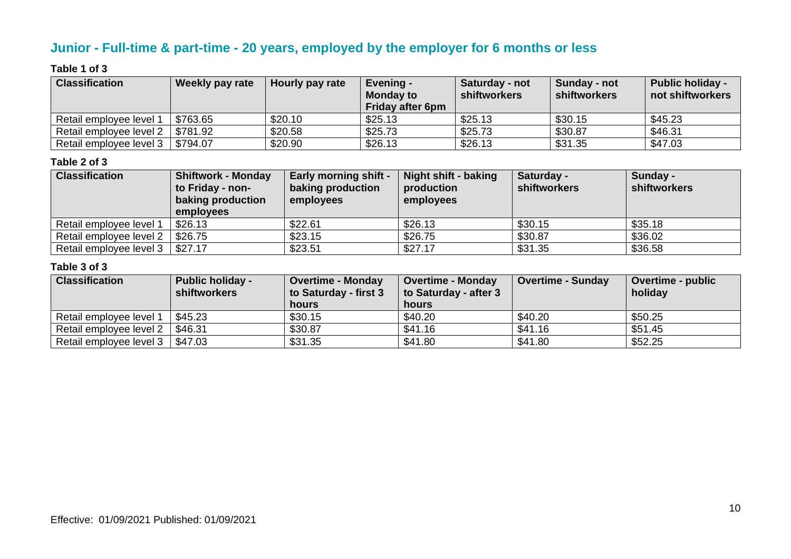# **Junior - Full-time & part-time - 20 years, employed by the employer for 6 months or less**

#### **Table 1 of 3**

| <b>Classification</b>   | Weekly pay rate | Hourly pay rate | <b>Evening -</b><br><b>Monday to</b><br><b>Friday after 6pm</b> | Saturday - not<br>shiftworkers | Sunday - not<br>shiftworkers | <b>Public holiday -</b><br>not shiftworkers |
|-------------------------|-----------------|-----------------|-----------------------------------------------------------------|--------------------------------|------------------------------|---------------------------------------------|
| Retail employee level 1 | \$763.65        | \$20.10         | \$25.13                                                         | \$25.13                        | \$30.15                      | \$45.23                                     |
| Retail employee level 2 | \$781.92        | \$20.58         | \$25.73                                                         | \$25.73                        | \$30.87                      | \$46.31                                     |
| Retail employee level 3 | \$794.07        | \$20.90         | \$26.13                                                         | \$26.13                        | \$31.35                      | \$47.03                                     |

#### **Table 2 of 3**

| <b>Classification</b>   | <b>Shiftwork - Monday</b><br>to Friday - non-<br>baking production<br>employees | <b>Early morning shift -</b><br>baking production<br>employees | <b>Night shift - baking</b><br>production<br>employees | Saturday -<br><b>shiftworkers</b> | Sunday -<br>shiftworkers |
|-------------------------|---------------------------------------------------------------------------------|----------------------------------------------------------------|--------------------------------------------------------|-----------------------------------|--------------------------|
| Retail employee level 1 | \$26.13                                                                         | \$22.61                                                        | \$26.13                                                | \$30.15                           | \$35.18                  |
| Retail employee level 2 | \$26.75                                                                         | \$23.15                                                        | \$26.75                                                | \$30.87                           | \$36.02                  |
| Retail employee level 3 | \$27.17                                                                         | \$23.51                                                        | \$27.17                                                | \$31.35                           | \$36.58                  |

| <b>Classification</b>   | <b>Public holiday -</b><br><b>shiftworkers</b> | <b>Overtime - Monday</b><br>to Saturday - first 3 | <b>Overtime - Monday</b><br>to Saturday - after 3 | <b>Overtime - Sunday</b> | <b>Overtime - public</b><br>holiday |
|-------------------------|------------------------------------------------|---------------------------------------------------|---------------------------------------------------|--------------------------|-------------------------------------|
|                         |                                                | hours                                             | hours                                             |                          |                                     |
| Retail employee level 1 | \$45.23                                        | \$30.15                                           | \$40.20                                           | \$40.20                  | \$50.25                             |
| Retail employee level 2 | \$46.31                                        | \$30.87                                           | \$41.16                                           | \$41.16                  | \$51.45                             |
| Retail employee level 3 | \$47.03                                        | \$31.35                                           | \$41.80                                           | \$41.80                  | \$52.25                             |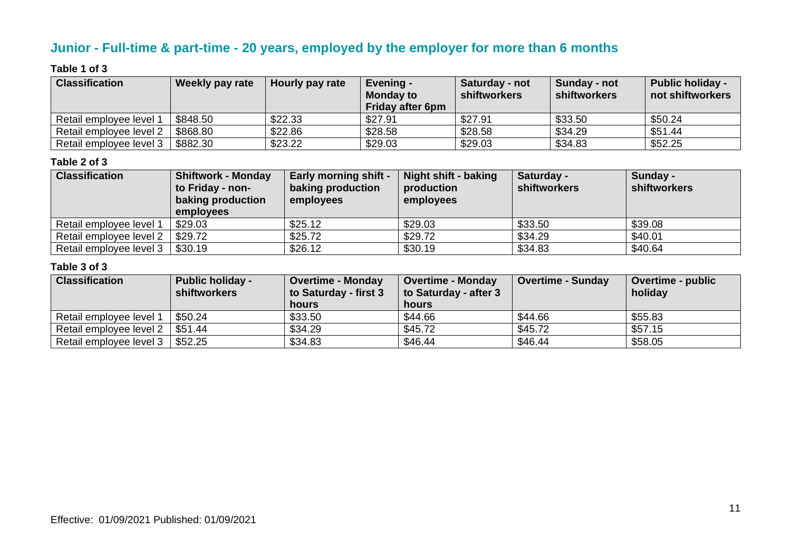# **Junior - Full-time & part-time - 20 years, employed by the employer for more than 6 months**

#### **Table 1 of 3**

| <b>Classification</b>   | Weekly pay rate | Hourly pay rate | Evening -<br><b>Monday to</b><br><b>Friday after 6pm</b> | Saturday - not<br><b>shiftworkers</b> | Sunday - not<br><b>shiftworkers</b> | <b>Public holiday -</b><br>not shiftworkers |
|-------------------------|-----------------|-----------------|----------------------------------------------------------|---------------------------------------|-------------------------------------|---------------------------------------------|
| Retail employee level   | \$848.50        | \$22.33         | \$27.91                                                  | \$27.91                               | \$33.50                             | \$50.24                                     |
| Retail employee level 2 | \$868.80        | \$22.86         | \$28.58                                                  | \$28.58                               | \$34.29                             | \$51.44                                     |
| Retail employee level 3 | \$882.30        | \$23.22         | \$29.03                                                  | \$29.03                               | \$34.83                             | \$52.25                                     |

#### **Table 2 of 3**

| <b>Classification</b>   | <b>Shiftwork - Monday</b><br>to Friday - non-<br>baking production<br><b>employees</b> | <b>Early morning shift -</b><br>baking production<br>employees | Night shift - baking<br>production<br>employees | Saturday -<br><b>shiftworkers</b> | Sunday -<br><b>shiftworkers</b> |
|-------------------------|----------------------------------------------------------------------------------------|----------------------------------------------------------------|-------------------------------------------------|-----------------------------------|---------------------------------|
| Retail employee level 1 | \$29.03                                                                                | \$25.12                                                        | \$29.03                                         | \$33.50                           | \$39.08                         |
| Retail employee level 2 | \$29.72                                                                                | \$25.72                                                        | \$29.72                                         | \$34.29                           | \$40.01                         |
| Retail employee level 3 | \$30.19                                                                                | \$26.12                                                        | \$30.19                                         | \$34.83                           | \$40.64                         |

| <b>Classification</b>   | <b>Public holiday -</b><br><b>shiftworkers</b> | <b>Overtime - Monday</b><br>to Saturday - first 3 | Overtime - Monday<br>to Saturday - after 3 | <b>Overtime - Sunday</b> | Overtime - public<br>holiday |
|-------------------------|------------------------------------------------|---------------------------------------------------|--------------------------------------------|--------------------------|------------------------------|
|                         |                                                | hours                                             | hours                                      |                          |                              |
| Retail employee level 1 | \$50.24                                        | \$33.50                                           | \$44.66                                    | \$44.66                  | \$55.83                      |
| Retail employee level 2 | \$51.44                                        | \$34.29                                           | \$45.72                                    | \$45.72                  | \$57.15                      |
| Retail employee level 3 | \$52.25                                        | \$34.83                                           | \$46.44                                    | \$46.44                  | \$58.05                      |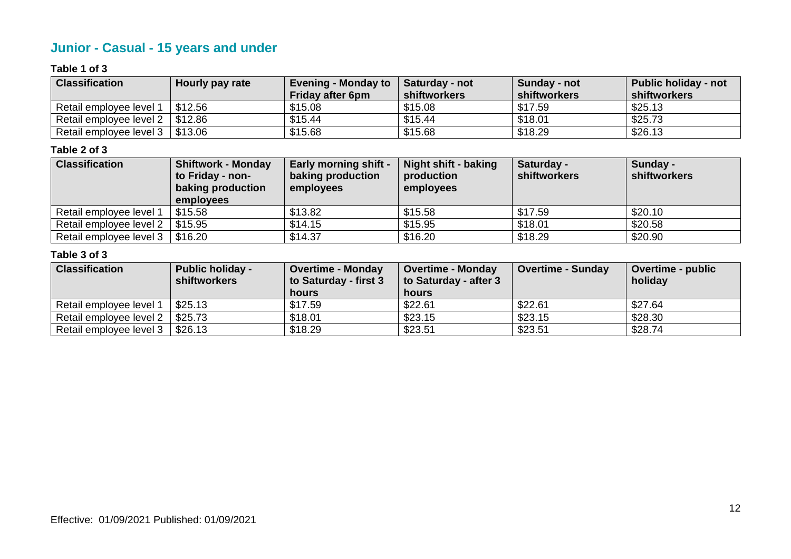# **Junior - Casual - 15 years and under**

#### **Table 1 of 3**

| <b>Classification</b>                 | Hourly pay rate | <b>Evening - Monday to</b> | <b>Saturday - not</b> | Sunday - not | <b>Public holiday - not</b> |
|---------------------------------------|-----------------|----------------------------|-----------------------|--------------|-----------------------------|
|                                       |                 | <b>Friday after 6pm</b>    | shiftworkers          | shiftworkers | shiftworkers                |
| Retail employee level 1               | \$12.56         | \$15.08                    | \$15.08               | \$17.59      | \$25.13                     |
| Retail employee level $2 \mid $12.86$ |                 | \$15.44                    | \$15.44               | \$18.01      | \$25.73                     |
| Retail employee level $3 \mid $13.06$ |                 | \$15.68                    | \$15.68               | \$18.29      | \$26.13                     |

#### **Table 2 of 3**

| <b>Classification</b>   | <b>Shiftwork - Monday</b> | <b>Early morning shift -</b> | <b>Night shift - baking</b> | Saturday -          | Sunday -     |
|-------------------------|---------------------------|------------------------------|-----------------------------|---------------------|--------------|
|                         | to Friday - non-          | baking production            | production                  | <b>shiftworkers</b> | shiftworkers |
|                         | baking production         | employees                    | employees                   |                     |              |
|                         | employees                 |                              |                             |                     |              |
| Retail employee level 1 | \$15.58                   | \$13.82                      | \$15.58                     | \$17.59             | \$20.10      |
| Retail employee level 2 | \$15.95                   | \$14.15                      | \$15.95                     | \$18.01             | \$20.58      |
| Retail employee level 3 | \$16.20                   | \$14.37                      | \$16.20                     | \$18.29             | \$20.90      |

| <b>Classification</b>   | <b>Public holiday -</b><br><b>shiftworkers</b> | <b>Overtime - Monday</b><br>to Saturday - first 3<br><b>hours</b> | <b>Overtime - Monday</b><br>to Saturday - after 3<br>hours | <b>Overtime - Sunday</b> | <b>Overtime - public</b><br>holiday |
|-------------------------|------------------------------------------------|-------------------------------------------------------------------|------------------------------------------------------------|--------------------------|-------------------------------------|
| Retail employee level 1 | \$25.13                                        | \$17.59                                                           | \$22.61                                                    | \$22.61                  | \$27.64                             |
| Retail employee level 2 | \$25.73                                        | \$18.01                                                           | \$23.15                                                    | \$23.15                  | \$28.30                             |
| Retail employee level 3 | \$26.13                                        | \$18.29                                                           | \$23.51                                                    | \$23.51                  | \$28.74                             |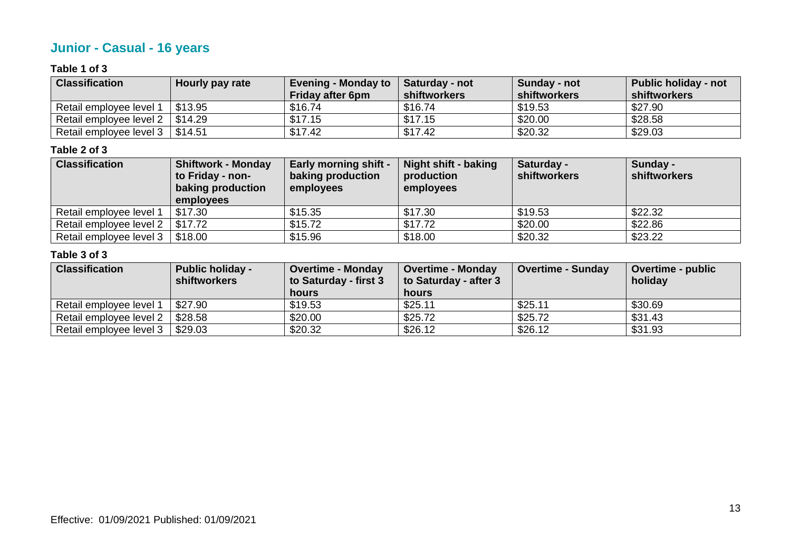# **Junior - Casual - 16 years**

#### **Table 1 of 3**

| <b>Classification</b>             | Hourly pay rate | <b>Evening - Monday to</b><br><b>Friday after 6pm</b> | <b>Saturday - not</b><br>shiftworkers | Sunday - not<br><b>shiftworkers</b> | Public holiday - not<br>∣ shiftworkers |
|-----------------------------------|-----------------|-------------------------------------------------------|---------------------------------------|-------------------------------------|----------------------------------------|
| Retail employee level 1           | \$13.95         | \$16.74                                               | \$16.74                               | \$19.53                             | \$27.90                                |
| Retail employee level 2   \$14.29 |                 | \$17.15                                               | \$17.15                               | \$20.00                             | \$28.58                                |
| Retail employee level 3   \$14.51 |                 | \$17.42                                               | \$17.42                               | \$20.32                             | \$29.03                                |

#### **Table 2 of 3**

| <b>Classification</b>   | <b>Shiftwork - Monday</b> | <b>Early morning shift -</b> | <b>Night shift - baking</b> | Saturday -          | Sunday -     |
|-------------------------|---------------------------|------------------------------|-----------------------------|---------------------|--------------|
|                         | to Friday - non-          | baking production            | production                  | <b>shiftworkers</b> | shiftworkers |
|                         | baking production         | employees                    | employees                   |                     |              |
|                         | employees                 |                              |                             |                     |              |
| Retail employee level 1 | \$17.30                   | \$15.35                      | \$17.30                     | \$19.53             | \$22.32      |
| Retail employee level 2 | \$17.72                   | \$15.72                      | \$17.72                     | \$20.00             | \$22.86      |
| Retail employee level 3 | \$18.00                   | \$15.96                      | \$18.00                     | \$20.32             | \$23.22      |

| <b>Classification</b>   | <b>Public holiday -</b><br><b>shiftworkers</b> | <b>Overtime - Monday</b><br>to Saturday - first 3<br>hours | <b>Overtime - Monday</b><br>to Saturday - after 3<br>hours | <b>Overtime - Sunday</b> | <b>Overtime - public</b><br>holiday |
|-------------------------|------------------------------------------------|------------------------------------------------------------|------------------------------------------------------------|--------------------------|-------------------------------------|
| Retail employee level 1 | \$27.90                                        | \$19.53                                                    | \$25.11                                                    | \$25.11                  | \$30.69                             |
| Retail employee level 2 | \$28.58                                        | \$20.00                                                    | \$25.72                                                    | \$25.72                  | \$31.43                             |
| Retail employee level 3 | \$29.03                                        | \$20.32                                                    | \$26.12                                                    | \$26.12                  | \$31.93                             |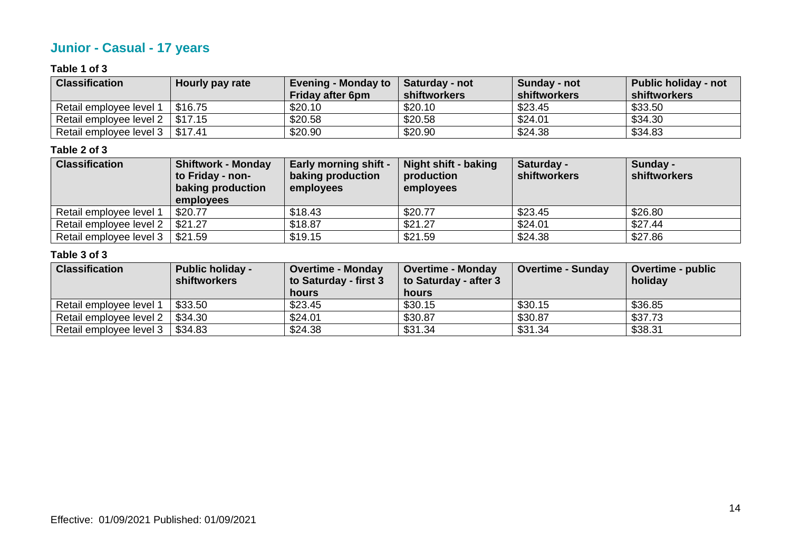# **Junior - Casual - 17 years**

#### **Table 1 of 3**

| <b>Classification</b>                 | Hourly pay rate | <b>Evening - Monday to</b><br><b>Friday after 6pm</b> | <b>Saturday - not</b><br>shiftworkers | Sunday - not<br>shiftworkers | <b>Public holiday - not</b><br>shiftworkers |
|---------------------------------------|-----------------|-------------------------------------------------------|---------------------------------------|------------------------------|---------------------------------------------|
| Retail employee level 1               | \$16.75         | \$20.10                                               | \$20.10                               | \$23.45                      | \$33.50                                     |
| Retail employee level $2 \mid $17.15$ |                 | \$20.58                                               | \$20.58                               | \$24.01                      | \$34.30                                     |
| Retail employee level 3   \$17.41     |                 | \$20.90                                               | \$20.90                               | \$24.38                      | \$34.83                                     |

#### **Table 2 of 3**

| <b>Classification</b>   | <b>Shiftwork - Monday</b> | <b>Early morning shift -</b> | <b>Night shift - baking</b> | Saturday -          | Sunday -     |
|-------------------------|---------------------------|------------------------------|-----------------------------|---------------------|--------------|
|                         | to Friday - non-          | baking production            | production                  | <b>shiftworkers</b> | shiftworkers |
|                         | baking production         | employees                    | employees                   |                     |              |
|                         | employees                 |                              |                             |                     |              |
| Retail employee level 1 | \$20.77                   | \$18.43                      | \$20.77                     | \$23.45             | \$26.80      |
| Retail employee level 2 | \$21.27                   | \$18.87                      | \$21.27                     | \$24.01             | \$27.44      |
| Retail employee level 3 | \$21.59                   | \$19.15                      | \$21.59                     | \$24.38             | \$27.86      |

| <b>Classification</b>   | <b>Public holiday -</b><br><b>shiftworkers</b> | <b>Overtime - Monday</b><br>to Saturday - first 3<br>hours | <b>Overtime - Monday</b><br>to Saturday - after 3<br>hours | <b>Overtime - Sunday</b> | <b>Overtime - public</b><br>holiday |
|-------------------------|------------------------------------------------|------------------------------------------------------------|------------------------------------------------------------|--------------------------|-------------------------------------|
| Retail employee level 1 | \$33.50                                        | \$23.45                                                    | \$30.15                                                    | \$30.15                  | \$36.85                             |
| Retail employee level 2 | \$34.30                                        | \$24.01                                                    | \$30.87                                                    | \$30.87                  | \$37.73                             |
| Retail employee level 3 | \$34.83                                        | \$24.38                                                    | \$31.34                                                    | \$31.34                  | \$38.31                             |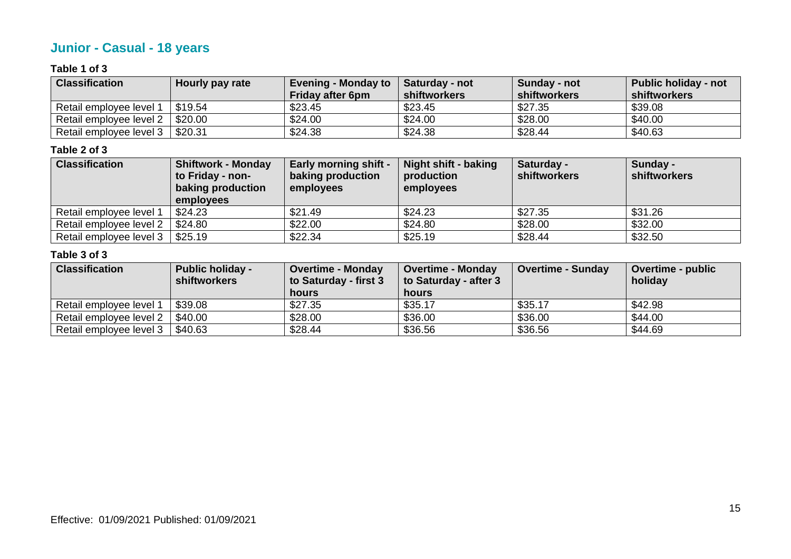# **Junior - Casual - 18 years**

#### **Table 1 of 3**

| <b>Classification</b>   | Hourly pay rate | <b>Evening - Monday to</b><br><b>Friday after 6pm</b> | <b>Saturday - not</b><br>shiftworkers | Sunday - not<br><b>shiftworkers</b> | Public holiday - not<br><b>Shiftworkers</b> |
|-------------------------|-----------------|-------------------------------------------------------|---------------------------------------|-------------------------------------|---------------------------------------------|
| Retail employee level 1 | \$19.54         | \$23.45                                               | \$23.45                               | \$27.35                             | \$39.08                                     |
| Retail employee level 2 | \$20.00         | \$24.00                                               | \$24.00                               | \$28.00                             | \$40.00                                     |
| Retail employee level 3 | \$20.31         | \$24.38                                               | \$24.38                               | \$28.44                             | \$40.63                                     |

#### **Table 2 of 3**

| <b>Classification</b>   | <b>Shiftwork - Monday</b> | <b>Early morning shift -</b> | <b>Night shift - baking</b> | Saturday -          | Sunday -     |
|-------------------------|---------------------------|------------------------------|-----------------------------|---------------------|--------------|
|                         | to Friday - non-          | baking production            | production                  | <b>shiftworkers</b> | shiftworkers |
|                         | baking production         | employees                    | employees                   |                     |              |
|                         | employees                 |                              |                             |                     |              |
| Retail employee level 1 | \$24.23                   | \$21.49                      | \$24.23                     | \$27.35             | \$31.26      |
| Retail employee level 2 | \$24.80                   | \$22.00                      | \$24.80                     | \$28.00             | \$32.00      |
| Retail employee level 3 | \$25.19                   | \$22.34                      | \$25.19                     | \$28.44             | \$32.50      |

| <b>Classification</b>   | <b>Public holiday -</b><br><b>shiftworkers</b> | <b>Overtime - Monday</b><br>to Saturday - first 3<br><b>hours</b> | <b>Overtime - Monday</b><br>to Saturday - after 3<br>hours | <b>Overtime - Sunday</b> | <b>Overtime - public</b><br>holiday |
|-------------------------|------------------------------------------------|-------------------------------------------------------------------|------------------------------------------------------------|--------------------------|-------------------------------------|
| Retail employee level 1 | \$39.08                                        | \$27.35                                                           | \$35.17                                                    | \$35.17                  | \$42.98                             |
| Retail employee level 2 | \$40.00                                        | \$28.00                                                           | \$36.00                                                    | \$36.00                  | \$44.00                             |
| Retail employee level 3 | \$40.63                                        | \$28.44                                                           | \$36.56                                                    | \$36.56                  | \$44.69                             |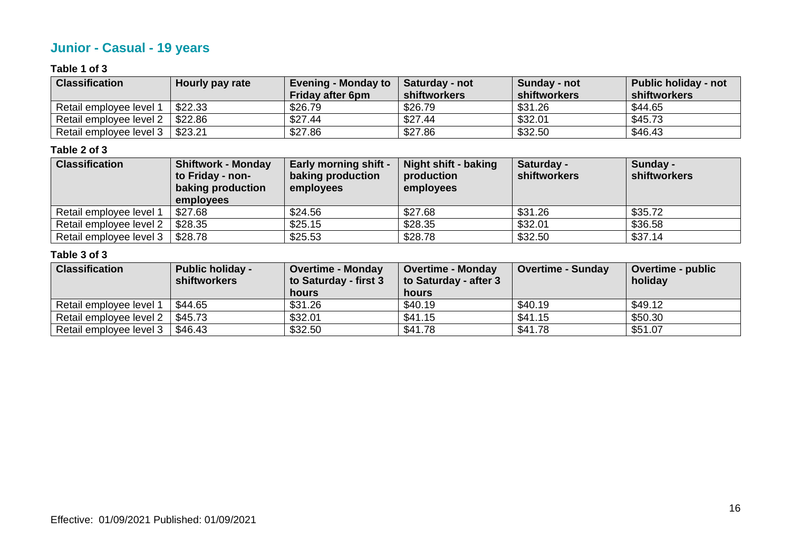# **Junior - Casual - 19 years**

#### **Table 1 of 3**

| <b>Classification</b>   | Hourly pay rate | <b>Evening - Monday to</b><br><b>Friday after 6pm</b> | <b>Saturday - not</b><br>shiftworkers | Sunday - not<br>shiftworkers | <b>Public holiday - not</b><br>shiftworkers |
|-------------------------|-----------------|-------------------------------------------------------|---------------------------------------|------------------------------|---------------------------------------------|
| Retail employee level 1 | \$22.33         | \$26.79                                               | \$26.79                               | \$31.26                      | \$44.65                                     |
| Retail employee level 2 | \$22.86         | \$27.44                                               | \$27.44                               | \$32.01                      | \$45.73                                     |
| Retail employee level 3 | \$23.21         | \$27.86                                               | \$27.86                               | \$32.50                      | \$46.43                                     |

#### **Table 2 of 3**

| <b>Classification</b>   | <b>Shiftwork - Monday</b> | <b>Early morning shift -</b> | <b>Night shift - baking</b> | Saturday -          | Sunday -     |
|-------------------------|---------------------------|------------------------------|-----------------------------|---------------------|--------------|
|                         | to Friday - non-          | baking production            | production                  | <b>shiftworkers</b> | shiftworkers |
|                         | baking production         | employees                    | employees                   |                     |              |
|                         | employees                 |                              |                             |                     |              |
| Retail employee level 1 | \$27.68                   | \$24.56                      | \$27.68                     | \$31.26             | \$35.72      |
| Retail employee level 2 | \$28.35                   | \$25.15                      | \$28.35                     | \$32.01             | \$36.58      |
| Retail employee level 3 | \$28.78                   | \$25.53                      | \$28.78                     | \$32.50             | \$37.14      |

| <b>Classification</b>   | <b>Public holiday -</b><br><b>shiftworkers</b> | <b>Overtime - Monday</b><br>to Saturday - first 3<br>hours | <b>Overtime - Monday</b><br>to Saturday - after 3<br>hours | <b>Overtime - Sunday</b> | <b>Overtime - public</b><br>holiday |
|-------------------------|------------------------------------------------|------------------------------------------------------------|------------------------------------------------------------|--------------------------|-------------------------------------|
| Retail employee level 1 | \$44.65                                        | \$31.26                                                    | \$40.19                                                    | \$40.19                  | \$49.12                             |
| Retail employee level 2 | \$45.73                                        | \$32.01                                                    | \$41.15                                                    | \$41.15                  | \$50.30                             |
| Retail employee level 3 | \$46.43                                        | \$32.50                                                    | \$41.78                                                    | \$41.78                  | \$51.07                             |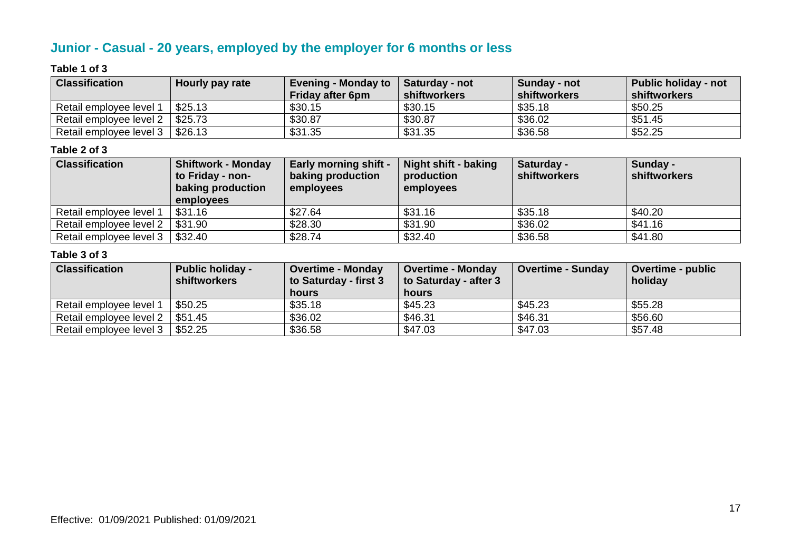# **Junior - Casual - 20 years, employed by the employer for 6 months or less**

#### **Table 1 of 3**

| <b>Classification</b>   | Hourly pay rate | <b>Evening - Monday to</b><br><b>Friday after 6pm</b> | <b>Saturday - not</b><br>shiftworkers | Sunday - not<br>shiftworkers | <b>Public holiday - not</b><br>shiftworkers |
|-------------------------|-----------------|-------------------------------------------------------|---------------------------------------|------------------------------|---------------------------------------------|
| Retail employee level 1 | \$25.13         | \$30.15                                               | \$30.15                               | \$35.18                      | \$50.25                                     |
| Retail employee level 2 | \$25.73         | \$30.87                                               | \$30.87                               | \$36.02                      | \$51.45                                     |
| Retail employee level 3 | \$26.13         | \$31.35                                               | \$31.35                               | \$36.58                      | \$52.25                                     |

#### **Table 2 of 3**

| <b>Classification</b>   | <b>Shiftwork - Monday</b> | <b>Early morning shift -</b> | <b>Night shift - baking</b> | Saturday -          | Sunday -     |
|-------------------------|---------------------------|------------------------------|-----------------------------|---------------------|--------------|
|                         | to Friday - non-          | baking production            | production                  | <b>shiftworkers</b> | shiftworkers |
|                         | baking production         | employees                    | employees                   |                     |              |
|                         | employees                 |                              |                             |                     |              |
| Retail employee level 1 | \$31.16                   | \$27.64                      | \$31.16                     | \$35.18             | \$40.20      |
| Retail employee level 2 | \$31.90                   | \$28.30                      | \$31.90                     | \$36.02             | \$41.16      |
| Retail employee level 3 | \$32.40                   | \$28.74                      | \$32.40                     | \$36.58             | \$41.80      |

| <b>Classification</b>   | <b>Public holiday -</b><br><b>shiftworkers</b> | <b>Overtime - Monday</b><br>to Saturday - first 3<br>hours | <b>Overtime - Monday</b><br>to Saturday - after 3<br>hours | <b>Overtime - Sunday</b> | <b>Overtime - public</b><br>holiday |
|-------------------------|------------------------------------------------|------------------------------------------------------------|------------------------------------------------------------|--------------------------|-------------------------------------|
| Retail employee level 1 | \$50.25                                        | \$35.18                                                    | \$45.23                                                    | \$45.23                  | \$55.28                             |
| Retail employee level 2 | \$51.45                                        | \$36.02                                                    | \$46.31                                                    | \$46.31                  | \$56.60                             |
| Retail employee level 3 | \$52.25                                        | \$36.58                                                    | \$47.03                                                    | \$47.03                  | \$57.48                             |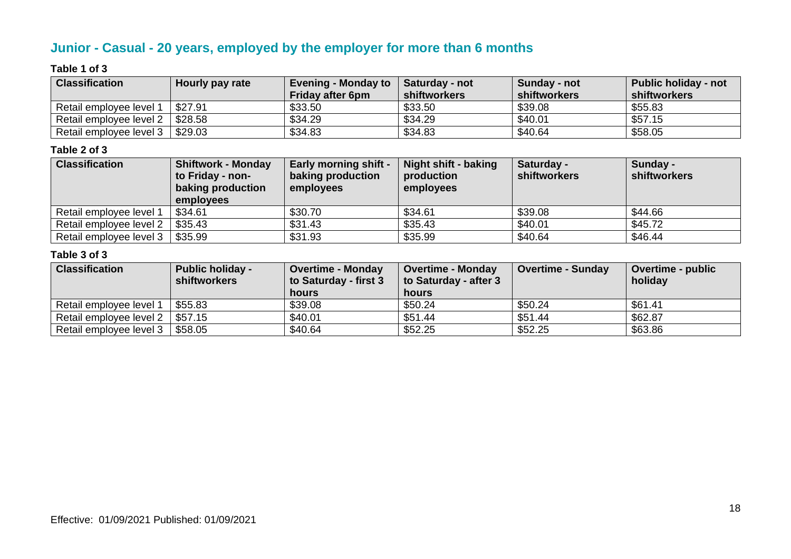# **Junior - Casual - 20 years, employed by the employer for more than 6 months**

#### **Table 1 of 3**

| <b>Classification</b>   | Hourly pay rate | Evening - Monday to<br><b>Friday after 6pm</b> | Saturday - not<br>shiftworkers | Sunday - not<br><b>shiftworkers</b> | Public holiday - not<br>shiftworkers |
|-------------------------|-----------------|------------------------------------------------|--------------------------------|-------------------------------------|--------------------------------------|
| Retail employee level 1 | \$27.91         | \$33.50                                        | \$33.50                        | \$39.08                             | \$55.83                              |
| Retail employee level 2 | \$28.58         | \$34.29                                        | \$34.29                        | \$40.01                             | \$57.15                              |
| Retail employee level 3 | \$29.03         | \$34.83                                        | \$34.83                        | \$40.64                             | \$58.05                              |

#### **Table 2 of 3**

| <b>Classification</b>   | <b>Shiftwork - Monday</b> | <b>Early morning shift -</b> | <b>Night shift - baking</b> | Saturday -          | Sunday -     |
|-------------------------|---------------------------|------------------------------|-----------------------------|---------------------|--------------|
|                         | to Friday - non-          | baking production            | production                  | <b>shiftworkers</b> | shiftworkers |
|                         | baking production         | employees                    | employees                   |                     |              |
|                         | employees                 |                              |                             |                     |              |
| Retail employee level 1 | \$34.61                   | \$30.70                      | \$34.61                     | \$39.08             | \$44.66      |
| Retail employee level 2 | \$35.43                   | \$31.43                      | \$35.43                     | \$40.01             | \$45.72      |
| Retail employee level 3 | \$35.99                   | \$31.93                      | \$35.99                     | \$40.64             | \$46.44      |

| <b>Classification</b>   | <b>Public holiday -</b><br><b>shiftworkers</b> | <b>Overtime - Monday</b><br>to Saturday - first 3<br>hours | <b>Overtime - Monday</b><br>to Saturday - after 3<br>hours | <b>Overtime - Sunday</b> | <b>Overtime - public</b><br>holiday |
|-------------------------|------------------------------------------------|------------------------------------------------------------|------------------------------------------------------------|--------------------------|-------------------------------------|
| Retail employee level 1 | \$55.83                                        | \$39.08                                                    | \$50.24                                                    | \$50.24                  | \$61.41                             |
| Retail employee level 2 | \$57.15                                        | \$40.01                                                    | \$51.44                                                    | \$51.44                  | \$62.87                             |
| Retail employee level 3 | \$58.05                                        | \$40.64                                                    | \$52.25                                                    | \$52.25                  | \$63.86                             |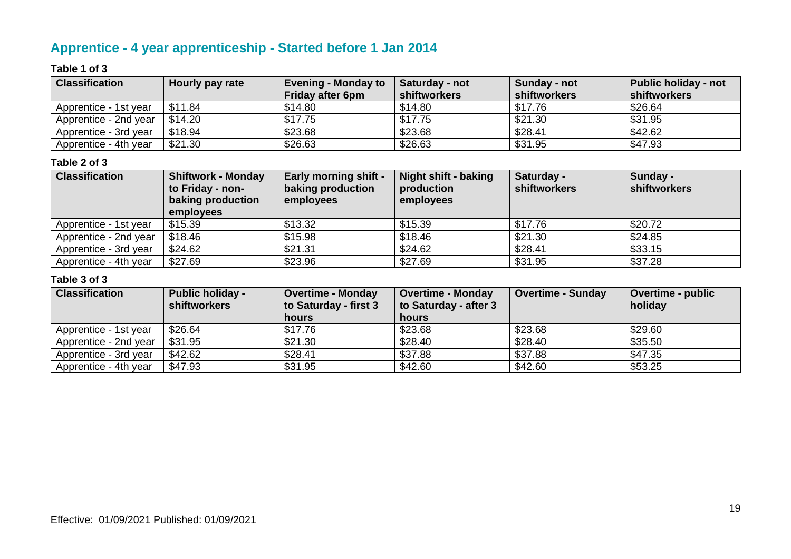# **Apprentice - 4 year apprenticeship - Started before 1 Jan 2014**

#### **Table 1 of 3**

| <b>Classification</b> | Hourly pay rate | <b>Evening - Monday to</b><br><b>Friday after 6pm</b> | Saturday - not<br>shiftworkers | Sunday - not<br>shiftworkers | <b>Public holiday - not</b><br>shiftworkers |
|-----------------------|-----------------|-------------------------------------------------------|--------------------------------|------------------------------|---------------------------------------------|
| Apprentice - 1st year | \$11.84         | \$14.80                                               | \$14.80                        | \$17.76                      | \$26.64                                     |
| Apprentice - 2nd year | \$14.20         | \$17.75                                               | \$17.75                        | \$21.30                      | \$31.95                                     |
| Apprentice - 3rd year | \$18.94         | \$23.68                                               | \$23.68                        | \$28.41                      | \$42.62                                     |
| Apprentice - 4th year | \$21.30         | \$26.63                                               | \$26.63                        | \$31.95                      | \$47.93                                     |

#### **Table 2 of 3**

| <b>Classification</b> | <b>Shiftwork - Monday</b><br>to Friday - non-<br>baking production<br>employees | <b>Early morning shift -</b><br>baking production<br>employees | Night shift - baking<br>production<br>employees | Saturday -<br><b>shiftworkers</b> | Sunday -<br><b>shiftworkers</b> |
|-----------------------|---------------------------------------------------------------------------------|----------------------------------------------------------------|-------------------------------------------------|-----------------------------------|---------------------------------|
| Apprentice - 1st year | \$15.39                                                                         | \$13.32                                                        | \$15.39                                         | \$17.76                           | \$20.72                         |
| Apprentice - 2nd year | \$18.46                                                                         | \$15.98                                                        | \$18.46                                         | \$21.30                           | \$24.85                         |
| Apprentice - 3rd year | \$24.62                                                                         | \$21.31                                                        | \$24.62                                         | \$28.41                           | \$33.15                         |
| Apprentice - 4th year | \$27.69                                                                         | \$23.96                                                        | \$27.69                                         | \$31.95                           | \$37.28                         |

| <b>Classification</b> | <b>Public holiday -</b><br><b>shiftworkers</b> | <b>Overtime - Monday</b><br>to Saturday - first 3 | <b>Overtime - Monday</b><br>to Saturday - after 3 | <b>Overtime - Sunday</b> | <b>Overtime - public</b><br>holiday |
|-----------------------|------------------------------------------------|---------------------------------------------------|---------------------------------------------------|--------------------------|-------------------------------------|
|                       |                                                | hours                                             | hours                                             |                          |                                     |
| Apprentice - 1st year | \$26.64                                        | \$17.76                                           | \$23.68                                           | \$23.68                  | \$29.60                             |
| Apprentice - 2nd year | \$31.95                                        | \$21.30                                           | \$28.40                                           | \$28.40                  | \$35.50                             |
| Apprentice - 3rd year | \$42.62                                        | \$28.41                                           | \$37.88                                           | \$37.88                  | \$47.35                             |
| Apprentice - 4th year | \$47.93                                        | \$31.95                                           | \$42.60                                           | \$42.60                  | \$53.25                             |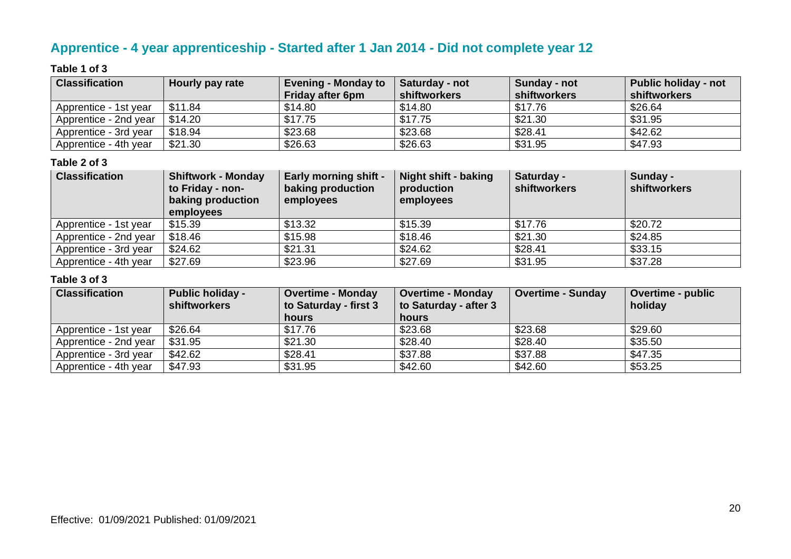# **Apprentice - 4 year apprenticeship - Started after 1 Jan 2014 - Did not complete year 12**

#### **Table 1 of 3**

| <b>Classification</b> | Hourly pay rate | <b>Evening - Monday to</b><br><b>Friday after 6pm</b> | Saturday - not<br><b>shiftworkers</b> | Sunday - not<br>shiftworkers | <b>Public holiday - not</b><br>shiftworkers |
|-----------------------|-----------------|-------------------------------------------------------|---------------------------------------|------------------------------|---------------------------------------------|
| Apprentice - 1st year | \$11.84         | \$14.80                                               | \$14.80                               | \$17.76                      | \$26.64                                     |
| Apprentice - 2nd year | \$14.20         | \$17.75                                               | \$17.75                               | \$21.30                      | \$31.95                                     |
| Apprentice - 3rd year | \$18.94         | \$23.68                                               | \$23.68                               | \$28.41                      | \$42.62                                     |
| Apprentice - 4th year | \$21.30         | \$26.63                                               | \$26.63                               | \$31.95                      | \$47.93                                     |

#### **Table 2 of 3**

| <b>Classification</b> | <b>Shiftwork - Monday</b><br>to Friday - non-<br>baking production<br>employees | <b>Early morning shift -</b><br>baking production<br>employees | Night shift - baking<br>production<br>employees | Saturday -<br><b>shiftworkers</b> | Sunday -<br><b>shiftworkers</b> |
|-----------------------|---------------------------------------------------------------------------------|----------------------------------------------------------------|-------------------------------------------------|-----------------------------------|---------------------------------|
| Apprentice - 1st year | \$15.39                                                                         | \$13.32                                                        | \$15.39                                         | \$17.76                           | \$20.72                         |
| Apprentice - 2nd year | \$18.46                                                                         | \$15.98                                                        | \$18.46                                         | \$21.30                           | \$24.85                         |
| Apprentice - 3rd year | \$24.62                                                                         | \$21.31                                                        | \$24.62                                         | \$28.41                           | \$33.15                         |
| Apprentice - 4th year | \$27.69                                                                         | \$23.96                                                        | \$27.69                                         | \$31.95                           | \$37.28                         |

| <b>Classification</b> | <b>Public holiday -</b><br><b>shiftworkers</b> | <b>Overtime - Monday</b><br>to Saturday - first 3 | <b>Overtime - Monday</b><br>to Saturday - after 3 | <b>Overtime - Sunday</b> | <b>Overtime - public</b><br>holiday |
|-----------------------|------------------------------------------------|---------------------------------------------------|---------------------------------------------------|--------------------------|-------------------------------------|
|                       |                                                | hours                                             | hours                                             |                          |                                     |
| Apprentice - 1st year | \$26.64                                        | \$17.76                                           | \$23.68                                           | \$23.68                  | \$29.60                             |
| Apprentice - 2nd year | \$31.95                                        | \$21.30                                           | \$28.40                                           | \$28.40                  | \$35.50                             |
| Apprentice - 3rd year | \$42.62                                        | \$28.41                                           | \$37.88                                           | \$37.88                  | \$47.35                             |
| Apprentice - 4th year | \$47.93                                        | \$31.95                                           | \$42.60                                           | \$42.60                  | \$53.25                             |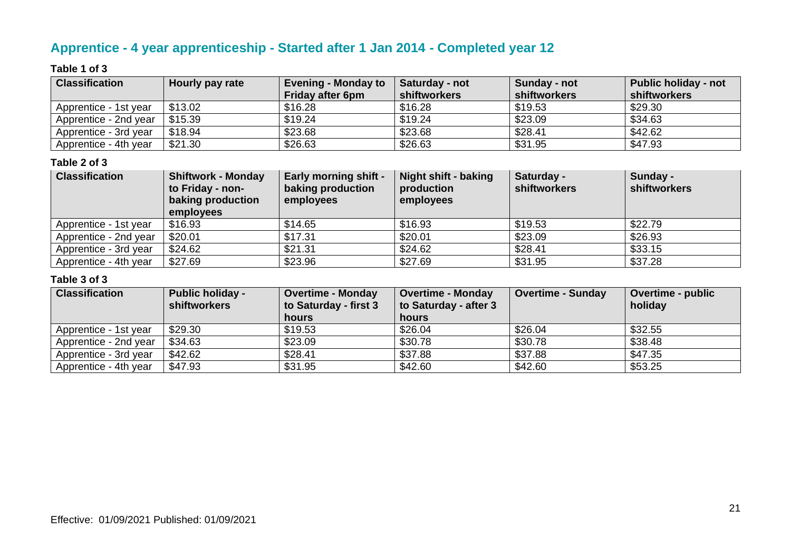# **Apprentice - 4 year apprenticeship - Started after 1 Jan 2014 - Completed year 12**

#### **Table 1 of 3**

| <b>Classification</b> | Hourly pay rate | <b>Evening - Monday to</b><br><b>Friday after 6pm</b> | Saturday - not<br>shiftworkers | Sunday - not<br>shiftworkers | <b>Public holiday - not</b><br>shiftworkers |
|-----------------------|-----------------|-------------------------------------------------------|--------------------------------|------------------------------|---------------------------------------------|
| Apprentice - 1st year | \$13.02         | \$16.28                                               | \$16.28                        | \$19.53                      | \$29.30                                     |
| Apprentice - 2nd year | \$15.39         | \$19.24                                               | \$19.24                        | \$23.09                      | \$34.63                                     |
| Apprentice - 3rd year | \$18.94         | \$23.68                                               | \$23.68                        | \$28.41                      | \$42.62                                     |
| Apprentice - 4th year | \$21.30         | \$26.63                                               | \$26.63                        | \$31.95                      | \$47.93                                     |

#### **Table 2 of 3**

| <b>Classification</b> | <b>Shiftwork - Monday</b><br>to Friday - non-<br>baking production<br>employees | <b>Early morning shift -</b><br>baking production<br>employees | Night shift - baking<br>production<br>employees | Saturday -<br><b>shiftworkers</b> | Sunday -<br><b>shiftworkers</b> |
|-----------------------|---------------------------------------------------------------------------------|----------------------------------------------------------------|-------------------------------------------------|-----------------------------------|---------------------------------|
| Apprentice - 1st year | \$16.93                                                                         | \$14.65                                                        | \$16.93                                         | \$19.53                           | \$22.79                         |
| Apprentice - 2nd year | \$20.01                                                                         | \$17.31                                                        | \$20.01                                         | \$23.09                           | \$26.93                         |
| Apprentice - 3rd year | \$24.62                                                                         | \$21.31                                                        | \$24.62                                         | \$28.41                           | \$33.15                         |
| Apprentice - 4th year | \$27.69                                                                         | \$23.96                                                        | \$27.69                                         | \$31.95                           | \$37.28                         |

| <b>Classification</b> | <b>Public holiday -</b><br><b>shiftworkers</b> | <b>Overtime - Monday</b><br>to Saturday - first 3<br>hours | <b>Overtime - Monday</b><br>to Saturday - after 3<br><b>hours</b> | <b>Overtime - Sunday</b> | <b>Overtime - public</b><br>holiday |
|-----------------------|------------------------------------------------|------------------------------------------------------------|-------------------------------------------------------------------|--------------------------|-------------------------------------|
| Apprentice - 1st year | \$29.30                                        | \$19.53                                                    | \$26.04                                                           | \$26.04                  | \$32.55                             |
|                       |                                                |                                                            |                                                                   |                          |                                     |
| Apprentice - 2nd year | \$34.63                                        | \$23.09                                                    | \$30.78                                                           | \$30.78                  | \$38.48                             |
| Apprentice - 3rd year | \$42.62                                        | \$28.41                                                    | \$37.88                                                           | \$37.88                  | \$47.35                             |
| Apprentice - 4th year | \$47.93                                        | \$31.95                                                    | \$42.60                                                           | \$42.60                  | \$53.25                             |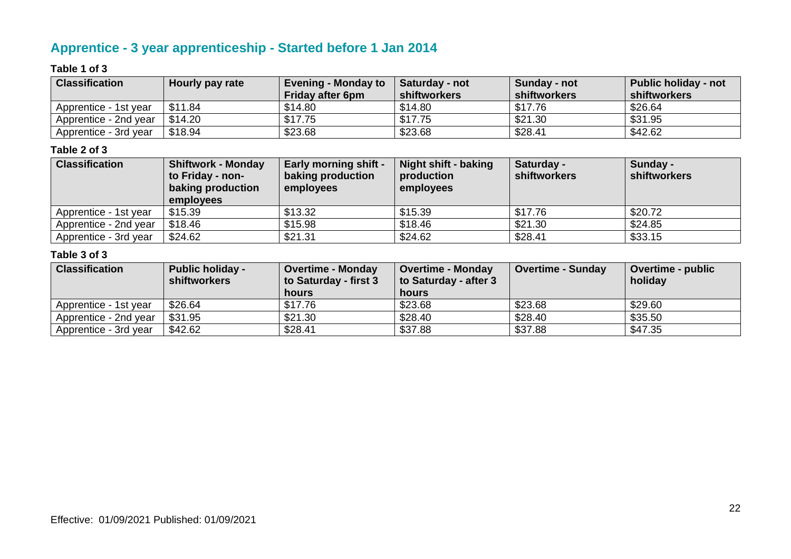# **Apprentice - 3 year apprenticeship - Started before 1 Jan 2014**

#### **Table 1 of 3**

| <b>Classification</b> | Hourly pay rate | <b>Evening - Monday to</b> | <b>Saturday - not</b> | Sunday - not | <b>Public holiday - not</b> |
|-----------------------|-----------------|----------------------------|-----------------------|--------------|-----------------------------|
|                       |                 | <b>Friday after 6pm</b>    | shiftworkers          | shiftworkers | shiftworkers                |
| Apprentice - 1st year | \$11.84         | \$14.80                    | \$14.80               | \$17.76      | \$26.64                     |
| Apprentice - 2nd year | \$14.20         | \$17.75                    | \$17.75               | \$21.30      | \$31.95                     |
| Apprentice - 3rd year | \$18.94         | \$23.68                    | \$23.68               | \$28.41      | \$42.62                     |

#### **Table 2 of 3**

| <b>Classification</b> | <b>Shiftwork - Monday</b><br>to Friday - non-<br>baking production<br><b>employees</b> | <b>Early morning shift -</b><br>baking production<br>employees | <b>Night shift - baking</b><br>production<br>employees | Saturday -<br>shiftworkers | Sunday -<br>shiftworkers |
|-----------------------|----------------------------------------------------------------------------------------|----------------------------------------------------------------|--------------------------------------------------------|----------------------------|--------------------------|
| Apprentice - 1st year | \$15.39                                                                                | \$13.32                                                        | \$15.39                                                | \$17.76                    | \$20.72                  |
| Apprentice - 2nd year | \$18.46                                                                                | \$15.98                                                        | \$18.46                                                | \$21.30                    | \$24.85                  |
| Apprentice - 3rd year | \$24.62                                                                                | \$21.31                                                        | \$24.62                                                | \$28.41                    | \$33.15                  |

| <b>Classification</b> | <b>Public holiday -</b><br><b>shiftworkers</b> | <b>Overtime - Monday</b><br>to Saturday - first 3<br>hours | <b>Overtime - Monday</b><br>to Saturday - after 3<br>hours | <b>Overtime - Sunday</b> | <b>Overtime - public</b><br>holiday |
|-----------------------|------------------------------------------------|------------------------------------------------------------|------------------------------------------------------------|--------------------------|-------------------------------------|
| Apprentice - 1st year | \$26.64                                        | \$17.76                                                    | \$23.68                                                    | \$23.68                  | \$29.60                             |
| Apprentice - 2nd year | \$31.95                                        | \$21.30                                                    | \$28.40                                                    | \$28.40                  | \$35.50                             |
| Apprentice - 3rd year | \$42.62                                        | \$28.41                                                    | \$37.88                                                    | \$37.88                  | \$47.35                             |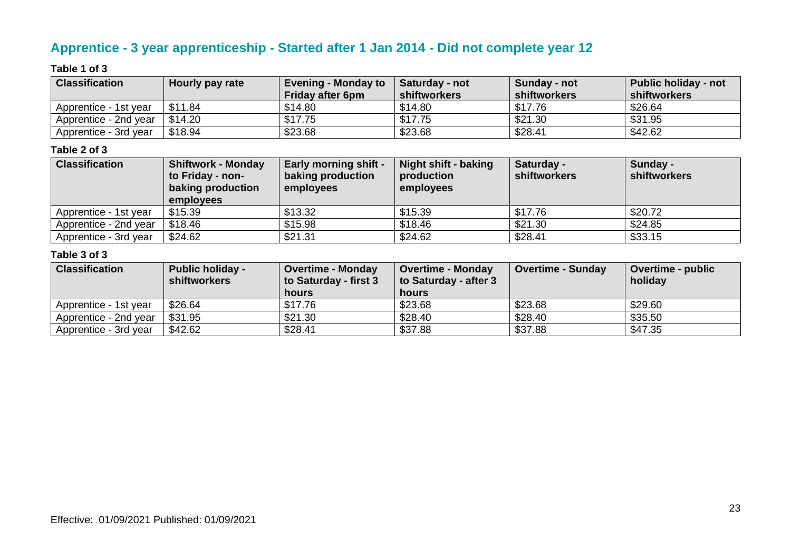### **Apprentice - 3 year apprenticeship - Started after 1 Jan 2014 - Did not complete year 12**

#### **Table 1 of 3**

| <b>Classification</b> | Hourly pay rate | <b>Evening - Monday to</b> | Saturday - not | Sunday - not | <b>Public holiday - not</b> |
|-----------------------|-----------------|----------------------------|----------------|--------------|-----------------------------|
|                       |                 | <b>Friday after 6pm</b>    | shiftworkers   | shiftworkers | shiftworkers                |
| Apprentice - 1st year | \$11.84         | \$14.80                    | \$14.80        | \$17.76      | \$26.64                     |
| Apprentice - 2nd year | \$14.20         | \$17.75                    | \$17.75        | \$21.30      | \$31.95                     |
| Apprentice - 3rd year | \$18.94         | \$23.68                    | \$23.68        | \$28.41      | \$42.62                     |

#### **Table 2 of 3**

| <b>Classification</b> | <b>Shiftwork - Monday</b><br>to Friday - non-<br>baking production<br><b>employees</b> | <b>Early morning shift -</b><br>baking production<br>employees | <b>Night shift - baking</b><br>production<br>employees | Saturday -<br>shiftworkers | Sunday -<br>shiftworkers |
|-----------------------|----------------------------------------------------------------------------------------|----------------------------------------------------------------|--------------------------------------------------------|----------------------------|--------------------------|
| Apprentice - 1st year | \$15.39                                                                                | \$13.32                                                        | \$15.39                                                | \$17.76                    | \$20.72                  |
| Apprentice - 2nd year | \$18.46                                                                                | \$15.98                                                        | \$18.46                                                | \$21.30                    | \$24.85                  |
| Apprentice - 3rd year | \$24.62                                                                                | \$21.31                                                        | \$24.62                                                | \$28.41                    | \$33.15                  |

| <b>Classification</b> | <b>Public holiday -</b><br><b>shiftworkers</b> | <b>Overtime - Monday</b><br>to Saturday - first 3<br>hours | <b>Overtime - Monday</b><br>to Saturday - after 3<br>hours | <b>Overtime - Sunday</b> | <b>Overtime - public</b><br>holiday |
|-----------------------|------------------------------------------------|------------------------------------------------------------|------------------------------------------------------------|--------------------------|-------------------------------------|
| Apprentice - 1st year | \$26.64                                        | \$17.76                                                    | \$23.68                                                    | \$23.68                  | \$29.60                             |
| Apprentice - 2nd year | \$31.95                                        | \$21.30                                                    | \$28.40                                                    | \$28.40                  | \$35.50                             |
| Apprentice - 3rd year | \$42.62                                        | \$28.41                                                    | \$37.88                                                    | \$37.88                  | \$47.35                             |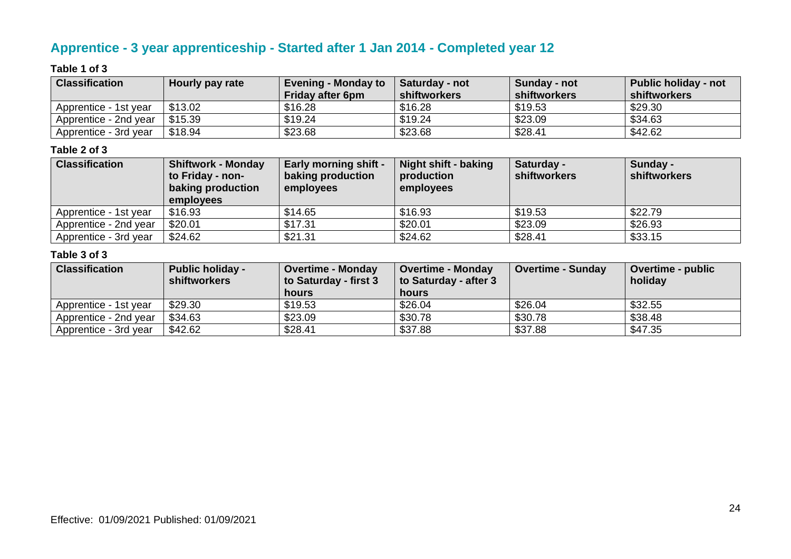# **Apprentice - 3 year apprenticeship - Started after 1 Jan 2014 - Completed year 12**

#### **Table 1 of 3**

| <b>Classification</b> | Hourly pay rate | <b>Evening - Monday to</b> | <b>Saturday - not</b> | Sunday - not | <b>Public holiday - not</b> |
|-----------------------|-----------------|----------------------------|-----------------------|--------------|-----------------------------|
|                       |                 | <b>Friday after 6pm</b>    | shiftworkers          | shiftworkers | shiftworkers                |
| Apprentice - 1st year | \$13.02         | \$16.28                    | \$16.28               | \$19.53      | \$29.30                     |
| Apprentice - 2nd year | \$15.39         | \$19.24                    | \$19.24               | \$23.09      | \$34.63                     |
| Apprentice - 3rd year | \$18.94         | \$23.68                    | \$23.68               | \$28.41      | \$42.62                     |

#### **Table 2 of 3**

| <b>Classification</b> | <b>Shiftwork - Monday</b><br>to Friday - non-<br><b>baking production</b><br><b>employees</b> | <b>Early morning shift -</b><br>baking production<br>employees | Night shift - baking<br>production<br>employees | Saturday -<br><b>shiftworkers</b> | Sunday -<br>shiftworkers |
|-----------------------|-----------------------------------------------------------------------------------------------|----------------------------------------------------------------|-------------------------------------------------|-----------------------------------|--------------------------|
| Apprentice - 1st year | \$16.93                                                                                       | \$14.65                                                        | \$16.93                                         | \$19.53                           | \$22.79                  |
| Apprentice - 2nd year | \$20.01                                                                                       | \$17.31                                                        | \$20.01                                         | \$23.09                           | \$26.93                  |
| Apprentice - 3rd year | \$24.62                                                                                       | \$21.31                                                        | \$24.62                                         | \$28.41                           | \$33.15                  |

| <b>Classification</b> | <b>Public holiday -</b><br><b>shiftworkers</b> | <b>Overtime - Monday</b><br>to Saturday - first 3<br>hours | <b>Overtime - Monday</b><br>to Saturday - after 3<br>hours | <b>Overtime - Sunday</b> | <b>Overtime - public</b><br>holiday |
|-----------------------|------------------------------------------------|------------------------------------------------------------|------------------------------------------------------------|--------------------------|-------------------------------------|
| Apprentice - 1st year | \$29.30                                        | \$19.53                                                    | \$26.04                                                    | \$26.04                  | \$32.55                             |
| Apprentice - 2nd year | \$34.63                                        | \$23.09                                                    | \$30.78                                                    | \$30.78                  | \$38.48                             |
| Apprentice - 3rd year | \$42.62                                        | \$28.41                                                    | \$37.88                                                    | \$37.88                  | \$47.35                             |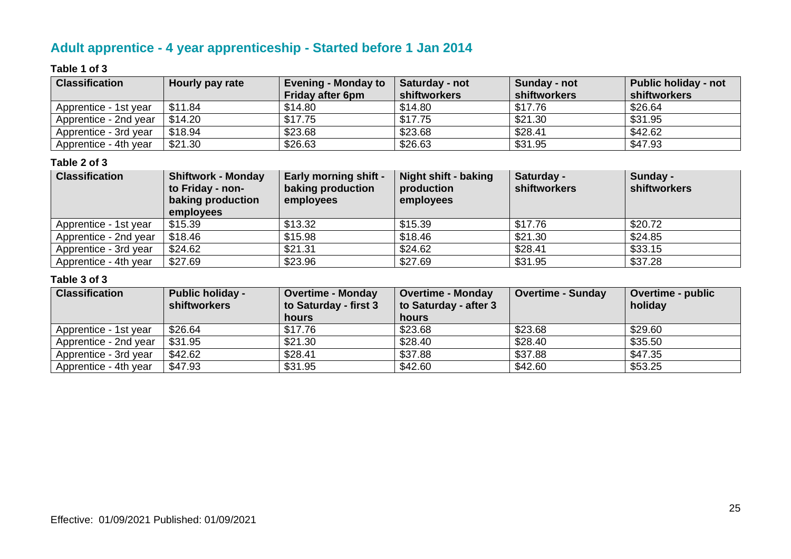# **Adult apprentice - 4 year apprenticeship - Started before 1 Jan 2014**

#### **Table 1 of 3**

| <b>Classification</b> | Hourly pay rate | <b>Evening - Monday to</b><br><b>Friday after 6pm</b> | Saturday - not<br>shiftworkers | Sunday - not<br>shiftworkers | <b>Public holiday - not</b><br>shiftworkers |
|-----------------------|-----------------|-------------------------------------------------------|--------------------------------|------------------------------|---------------------------------------------|
| Apprentice - 1st year | \$11.84         | \$14.80                                               | \$14.80                        | \$17.76                      | \$26.64                                     |
| Apprentice - 2nd year | \$14.20         | \$17.75                                               | \$17.75                        | \$21.30                      | \$31.95                                     |
| Apprentice - 3rd year | \$18.94         | \$23.68                                               | \$23.68                        | \$28.41                      | \$42.62                                     |
| Apprentice - 4th year | \$21.30         | \$26.63                                               | \$26.63                        | \$31.95                      | \$47.93                                     |

#### **Table 2 of 3**

| <b>Classification</b> | <b>Shiftwork - Monday</b><br>to Friday - non-<br>baking production<br>employees | <b>Early morning shift -</b><br>baking production<br>employees | Night shift - baking<br>production<br>employees | Saturday -<br><b>shiftworkers</b> | Sunday -<br><b>shiftworkers</b> |
|-----------------------|---------------------------------------------------------------------------------|----------------------------------------------------------------|-------------------------------------------------|-----------------------------------|---------------------------------|
| Apprentice - 1st year | \$15.39                                                                         | \$13.32                                                        | \$15.39                                         | \$17.76                           | \$20.72                         |
| Apprentice - 2nd year | \$18.46                                                                         | \$15.98                                                        | \$18.46                                         | \$21.30                           | \$24.85                         |
| Apprentice - 3rd year | \$24.62                                                                         | \$21.31                                                        | \$24.62                                         | \$28.41                           | \$33.15                         |
| Apprentice - 4th year | \$27.69                                                                         | \$23.96                                                        | \$27.69                                         | \$31.95                           | \$37.28                         |

| <b>Classification</b> | <b>Public holiday -</b><br><b>shiftworkers</b> | <b>Overtime - Monday</b><br>to Saturday - first 3 | <b>Overtime - Monday</b><br>to Saturday - after 3 | <b>Overtime - Sunday</b> | <b>Overtime - public</b><br>holiday |
|-----------------------|------------------------------------------------|---------------------------------------------------|---------------------------------------------------|--------------------------|-------------------------------------|
|                       |                                                | hours                                             | hours                                             |                          |                                     |
| Apprentice - 1st year | \$26.64                                        | \$17.76                                           | \$23.68                                           | \$23.68                  | \$29.60                             |
| Apprentice - 2nd year | \$31.95                                        | \$21.30                                           | \$28.40                                           | \$28.40                  | \$35.50                             |
| Apprentice - 3rd year | \$42.62                                        | \$28.41                                           | \$37.88                                           | \$37.88                  | \$47.35                             |
| Apprentice - 4th year | \$47.93                                        | \$31.95                                           | \$42.60                                           | \$42.60                  | \$53.25                             |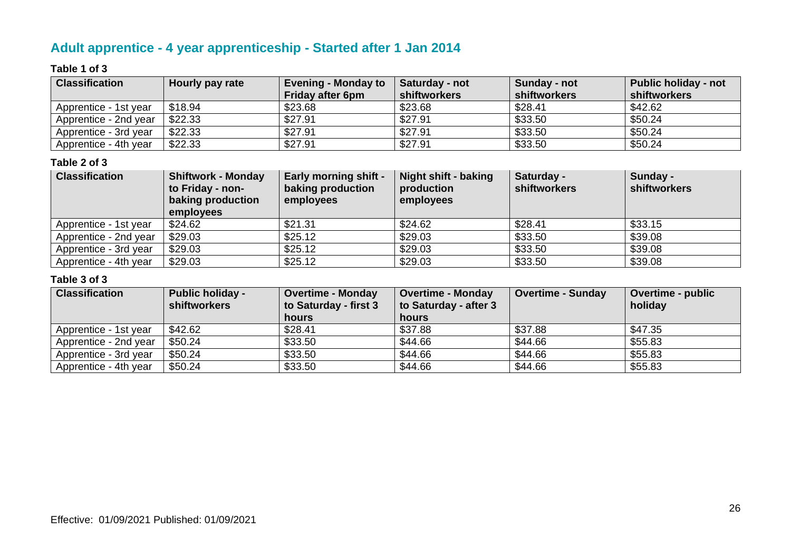# **Adult apprentice - 4 year apprenticeship - Started after 1 Jan 2014**

#### **Table 1 of 3**

| <b>Classification</b> | Hourly pay rate | <b>Evening - Monday to</b><br><b>Friday after 6pm</b> | Saturday - not<br>shiftworkers | Sunday - not<br>shiftworkers | Public holiday - not<br>shiftworkers |
|-----------------------|-----------------|-------------------------------------------------------|--------------------------------|------------------------------|--------------------------------------|
| Apprentice - 1st year | \$18.94         | \$23.68                                               | \$23.68                        | \$28.41                      | \$42.62                              |
| Apprentice - 2nd year | \$22.33         | \$27.91                                               | \$27.91                        | \$33.50                      | \$50.24                              |
| Apprentice - 3rd year | \$22.33         | \$27.91                                               | \$27.91                        | \$33.50                      | \$50.24                              |
| Apprentice - 4th year | \$22.33         | \$27.91                                               | \$27.91                        | \$33.50                      | \$50.24                              |

#### **Table 2 of 3**

| <b>Classification</b> | <b>Shiftwork - Monday</b><br>to Friday - non-<br>baking production<br>employees | <b>Early morning shift -</b><br>baking production<br>employees | Night shift - baking<br>production<br>employees | Saturday -<br><b>shiftworkers</b> | Sunday -<br><b>shiftworkers</b> |
|-----------------------|---------------------------------------------------------------------------------|----------------------------------------------------------------|-------------------------------------------------|-----------------------------------|---------------------------------|
| Apprentice - 1st year | \$24.62                                                                         | \$21.31                                                        | \$24.62                                         | \$28.41                           | \$33.15                         |
| Apprentice - 2nd year | \$29.03                                                                         | \$25.12                                                        | \$29.03                                         | \$33.50                           | \$39.08                         |
| Apprentice - 3rd year | \$29.03                                                                         | \$25.12                                                        | \$29.03                                         | \$33.50                           | \$39.08                         |
| Apprentice - 4th year | \$29.03                                                                         | \$25.12                                                        | \$29.03                                         | \$33.50                           | \$39.08                         |

| <b>Classification</b> | <b>Public holiday -</b><br><b>shiftworkers</b> | <b>Overtime - Monday</b><br>to Saturday - first 3 | <b>Overtime - Monday</b><br>to Saturday - after 3 | <b>Overtime - Sunday</b> | <b>Overtime - public</b><br>holiday |
|-----------------------|------------------------------------------------|---------------------------------------------------|---------------------------------------------------|--------------------------|-------------------------------------|
|                       |                                                | hours                                             | <b>hours</b>                                      |                          |                                     |
| Apprentice - 1st year | \$42.62                                        | \$28.41                                           | \$37.88                                           | \$37.88                  | \$47.35                             |
| Apprentice - 2nd year | \$50.24                                        | \$33.50                                           | \$44.66                                           | \$44.66                  | \$55.83                             |
| Apprentice - 3rd year | \$50.24                                        | \$33.50                                           | \$44.66                                           | \$44.66                  | \$55.83                             |
| Apprentice - 4th year | \$50.24                                        | \$33.50                                           | \$44.66                                           | \$44.66                  | \$55.83                             |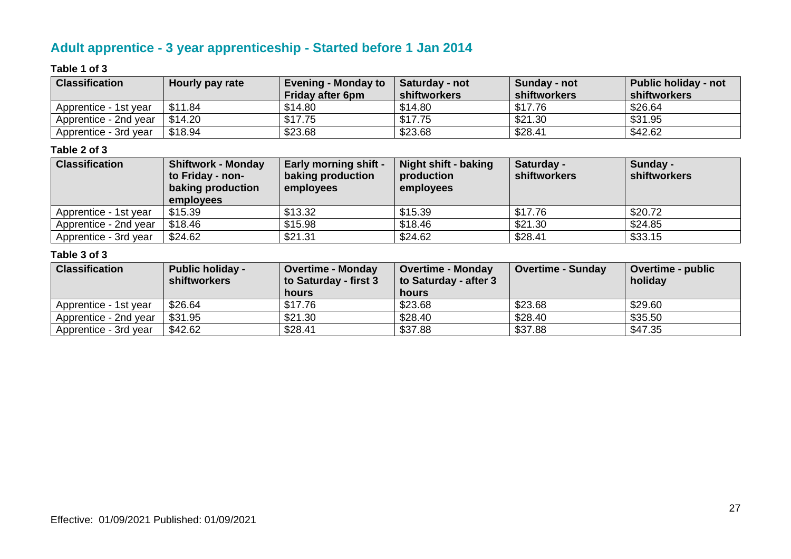# **Adult apprentice - 3 year apprenticeship - Started before 1 Jan 2014**

#### **Table 1 of 3**

| <b>Classification</b> | Hourly pay rate | <b>Evening - Monday to</b> | <b>Saturday - not</b> | Sunday - not | <b>Public holiday - not</b> |
|-----------------------|-----------------|----------------------------|-----------------------|--------------|-----------------------------|
|                       |                 | <b>Friday after 6pm</b>    | shiftworkers          | shiftworkers | shiftworkers                |
| Apprentice - 1st year | \$11.84         | \$14.80                    | \$14.80               | \$17.76      | \$26.64                     |
| Apprentice - 2nd year | \$14.20         | \$17.75                    | \$17.75               | \$21.30      | \$31.95                     |
| Apprentice - 3rd year | \$18.94         | \$23.68                    | \$23.68               | \$28.41      | \$42.62                     |

#### **Table 2 of 3**

| <b>Classification</b> | <b>Shiftwork - Monday</b><br>to Friday - non-<br><b>baking production</b><br><b>employees</b> | <b>Early morning shift -</b><br>baking production<br>employees | Night shift - baking<br>production<br>employees | Saturday -<br><b>shiftworkers</b> | Sunday -<br>shiftworkers |
|-----------------------|-----------------------------------------------------------------------------------------------|----------------------------------------------------------------|-------------------------------------------------|-----------------------------------|--------------------------|
| Apprentice - 1st year | \$15.39                                                                                       | \$13.32                                                        | \$15.39                                         | \$17.76                           | \$20.72                  |
| Apprentice - 2nd year | \$18.46                                                                                       | \$15.98                                                        | \$18.46                                         | \$21.30                           | \$24.85                  |
| Apprentice - 3rd year | \$24.62                                                                                       | \$21.31                                                        | \$24.62                                         | \$28.41                           | \$33.15                  |

| <b>Classification</b> | <b>Public holiday -</b><br><b>shiftworkers</b> | <b>Overtime - Monday</b><br>to Saturday - first 3<br>hours | <b>Overtime - Monday</b><br>to Saturday - after 3<br>hours | <b>Overtime - Sunday</b> | <b>Overtime - public</b><br>holiday |
|-----------------------|------------------------------------------------|------------------------------------------------------------|------------------------------------------------------------|--------------------------|-------------------------------------|
| Apprentice - 1st year | \$26.64                                        | \$17.76                                                    | \$23.68                                                    | \$23.68                  | \$29.60                             |
| Apprentice - 2nd year | \$31.95                                        | \$21.30                                                    | \$28.40                                                    | \$28.40                  | \$35.50                             |
| Apprentice - 3rd year | \$42.62                                        | \$28.41                                                    | \$37.88                                                    | \$37.88                  | \$47.35                             |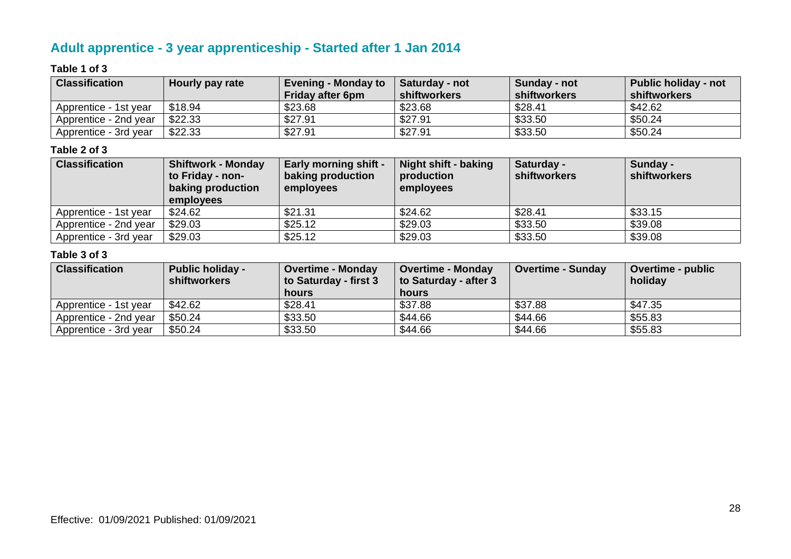# **Adult apprentice - 3 year apprenticeship - Started after 1 Jan 2014**

#### **Table 1 of 3**

| <b>Classification</b> | Hourly pay rate | <b>Evening - Monday to</b> | Saturday - not | Sunday - not | <b>Public holiday - not</b> |
|-----------------------|-----------------|----------------------------|----------------|--------------|-----------------------------|
|                       |                 | <b>Friday after 6pm</b>    | shiftworkers   | shiftworkers | shiftworkers                |
| Apprentice - 1st year | \$18.94         | \$23.68                    | \$23.68        | \$28.41      | \$42.62                     |
| Apprentice - 2nd year | \$22.33         | \$27.91                    | \$27.91        | \$33.50      | \$50.24                     |
| Apprentice - 3rd year | \$22.33         | \$27.91                    | \$27.91        | \$33.50      | \$50.24                     |

#### **Table 2 of 3**

| <b>Classification</b> | <b>Shiftwork - Monday</b><br>to Friday - non-<br>baking production<br><b>employees</b> | <b>Early morning shift -</b><br>baking production<br>employees | <b>Night shift - baking</b><br>production<br>employees | Saturday -<br>shiftworkers | Sunday -<br>shiftworkers |
|-----------------------|----------------------------------------------------------------------------------------|----------------------------------------------------------------|--------------------------------------------------------|----------------------------|--------------------------|
| Apprentice - 1st year | \$24.62                                                                                | \$21.31                                                        | \$24.62                                                | \$28.41                    | \$33.15                  |
| Apprentice - 2nd year | \$29.03                                                                                | \$25.12                                                        | \$29.03                                                | \$33.50                    | \$39.08                  |
| Apprentice - 3rd year | \$29.03                                                                                | \$25.12                                                        | \$29.03                                                | \$33.50                    | \$39.08                  |

| <b>Classification</b> | <b>Public holiday -</b><br><b>shiftworkers</b> | <b>Overtime - Monday</b><br>to Saturday - first 3<br>hours | <b>Overtime - Monday</b><br>to Saturday - after 3<br>hours | <b>Overtime - Sunday</b> | <b>Overtime - public</b><br>holiday |
|-----------------------|------------------------------------------------|------------------------------------------------------------|------------------------------------------------------------|--------------------------|-------------------------------------|
| Apprentice - 1st year | \$42.62                                        | \$28.41                                                    | \$37.88                                                    | \$37.88                  | \$47.35                             |
| Apprentice - 2nd year | \$50.24                                        | \$33.50                                                    | \$44.66                                                    | \$44.66                  | \$55.83                             |
| Apprentice - 3rd year | \$50.24                                        | \$33.50                                                    | \$44.66                                                    | \$44.66                  | \$55.83                             |